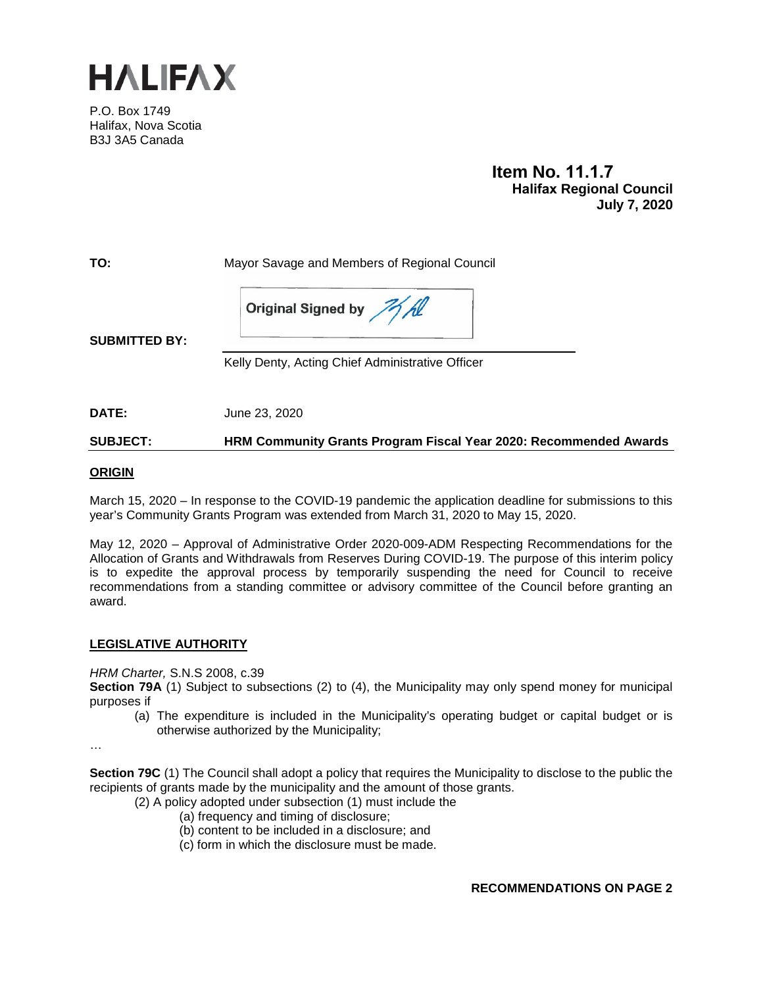

P.O. Box 1749 Halifax, Nova Scotia B3J 3A5 Canada

> **Item No. 11.1.7 Halifax Regional Council July 7, 2020**

**TO:** Mayor Savage and Members of Regional Council

Original Signed by MA

**SUBMITTED BY:**

Kelly Denty, Acting Chief Administrative Officer

**DATE:** June 23, 2020

**SUBJECT: HRM Community Grants Program Fiscal Year 2020: Recommended Awards**

#### **ORIGIN**

March 15, 2020 – In response to the COVID-19 pandemic the application deadline for submissions to this year's Community Grants Program was extended from March 31, 2020 to May 15, 2020.

May 12, 2020 – Approval of Administrative Order 2020-009-ADM Respecting Recommendations for the Allocation of Grants and Withdrawals from Reserves During COVID-19. The purpose of this interim policy is to expedite the approval process by temporarily suspending the need for Council to receive recommendations from a standing committee or advisory committee of the Council before granting an award.

## **LEGISLATIVE AUTHORITY**

*HRM Charter,* S.N.S 2008, c.39

**Section 79A** (1) Subject to subsections (2) to (4), the Municipality may only spend money for municipal purposes if

(a) The expenditure is included in the Municipality's operating budget or capital budget or is otherwise authorized by the Municipality;

…

**Section 79C** (1) The Council shall adopt a policy that requires the Municipality to disclose to the public the recipients of grants made by the municipality and the amount of those grants.

(2) A policy adopted under subsection (1) must include the

- (a) frequency and timing of disclosure;
- (b) content to be included in a disclosure; and
- (c) form in which the disclosure must be made.

**RECOMMENDATIONS ON PAGE 2**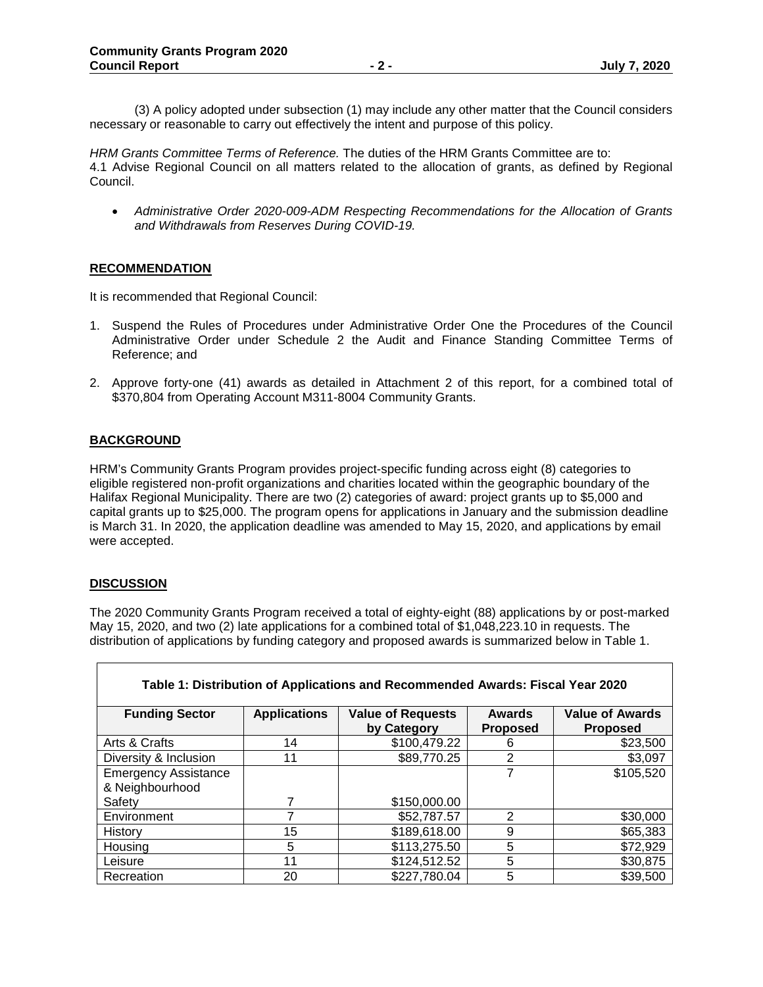(3) A policy adopted under subsection (1) may include any other matter that the Council considers necessary or reasonable to carry out effectively the intent and purpose of this policy.

*HRM Grants Committee Terms of Reference.* The duties of the HRM Grants Committee are to: 4.1 Advise Regional Council on all matters related to the allocation of grants, as defined by Regional Council.

• *Administrative Order 2020-009-ADM Respecting Recommendations for the Allocation of Grants and Withdrawals from Reserves During COVID-19.*

#### **RECOMMENDATION**

It is recommended that Regional Council:

- 1. Suspend the Rules of Procedures under Administrative Order One the Procedures of the Council Administrative Order under Schedule 2 the Audit and Finance Standing Committee Terms of Reference; and
- 2. Approve forty-one (41) awards as detailed in Attachment 2 of this report, for a combined total of \$370,804 from Operating Account M311-8004 Community Grants.

#### **BACKGROUND**

HRM's Community Grants Program provides project-specific funding across eight (8) categories to eligible registered non-profit organizations and charities located within the geographic boundary of the Halifax Regional Municipality. There are two (2) categories of award: project grants up to \$5,000 and capital grants up to \$25,000. The program opens for applications in January and the submission deadline is March 31. In 2020, the application deadline was amended to May 15, 2020, and applications by email were accepted.

#### **DISCUSSION**

The 2020 Community Grants Program received a total of eighty-eight (88) applications by or post-marked May 15, 2020, and two (2) late applications for a combined total of \$1,048,223.10 in requests. The distribution of applications by funding category and proposed awards is summarized below in Table 1.

| Table 1: Distribution of Applications and Recommended Awards: Fiscal Year 2020 |                     |                                         |                                  |                                           |  |  |  |
|--------------------------------------------------------------------------------|---------------------|-----------------------------------------|----------------------------------|-------------------------------------------|--|--|--|
| <b>Funding Sector</b>                                                          | <b>Applications</b> | <b>Value of Requests</b><br>by Category | <b>Awards</b><br><b>Proposed</b> | <b>Value of Awards</b><br><b>Proposed</b> |  |  |  |
| Arts & Crafts                                                                  | 14                  | \$100,479.22                            | 6                                | \$23,500                                  |  |  |  |
| Diversity & Inclusion                                                          | 11                  | \$89,770.25                             | 2                                | \$3,097                                   |  |  |  |
| <b>Emergency Assistance</b>                                                    |                     |                                         | 7                                | \$105,520                                 |  |  |  |
| & Neighbourhood                                                                |                     |                                         |                                  |                                           |  |  |  |
| Safety                                                                         | 7                   | \$150,000.00                            |                                  |                                           |  |  |  |
| Environment                                                                    |                     | \$52,787.57                             | 2                                | \$30,000                                  |  |  |  |
| History                                                                        | 15                  | \$189,618.00                            | 9                                | \$65,383                                  |  |  |  |
| Housing                                                                        | 5                   | \$113,275.50                            | 5                                | \$72,929                                  |  |  |  |
| Leisure                                                                        | 11                  | \$124,512.52                            | 5                                | \$30,875                                  |  |  |  |
| Recreation                                                                     | 20                  | \$227,780.04                            | 5                                | \$39,500                                  |  |  |  |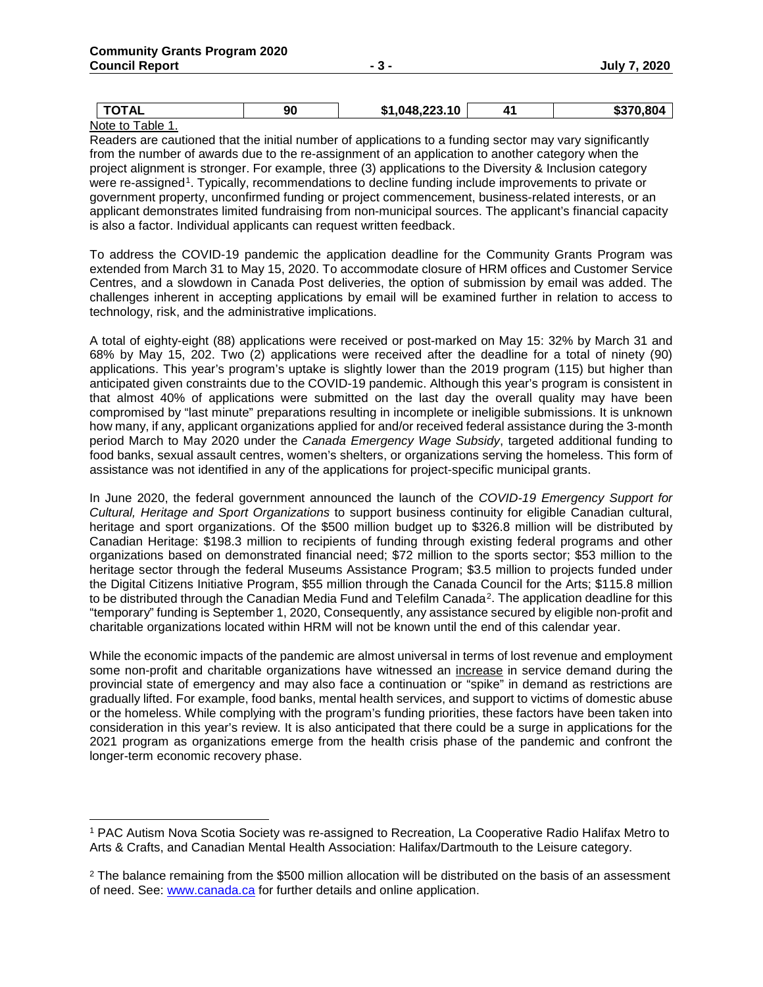| ומדרז<br>∼              | 90 | $\sim$ 1,048,223.10 $^+$<br><b>т.</b><br>ו מ- | A1. | \$370.804<br>-11-1 |
|-------------------------|----|-----------------------------------------------|-----|--------------------|
| the control of the con- |    |                                               |     |                    |

Note to Table 1.

Readers are cautioned that the initial number of applications to a funding sector may vary significantly from the number of awards due to the re-assignment of an application to another category when the project alignment is stronger. For example, three (3) applications to the Diversity & Inclusion category were re-assigned<sup>1</sup>. Typically, recommendations to decline funding include improvements to private or government property, unconfirmed funding or project commencement, business-related interests, or an applicant demonstrates limited fundraising from non-municipal sources. The applicant's financial capacity is also a factor. Individual applicants can request written feedback.

To address the COVID-19 pandemic the application deadline for the Community Grants Program was extended from March 31 to May 15, 2020. To accommodate closure of HRM offices and Customer Service Centres, and a slowdown in Canada Post deliveries, the option of submission by email was added. The challenges inherent in accepting applications by email will be examined further in relation to access to technology, risk, and the administrative implications.

A total of eighty-eight (88) applications were received or post-marked on May 15: 32% by March 31 and 68% by May 15, 202. Two (2) applications were received after the deadline for a total of ninety (90) applications. This year's program's uptake is slightly lower than the 2019 program (115) but higher than anticipated given constraints due to the COVID-19 pandemic. Although this year's program is consistent in that almost 40% of applications were submitted on the last day the overall quality may have been compromised by "last minute" preparations resulting in incomplete or ineligible submissions. It is unknown how many, if any, applicant organizations applied for and/or received federal assistance during the 3-month period March to May 2020 under the *Canada Emergency Wage Subsidy*, targeted additional funding to food banks, sexual assault centres, women's shelters, or organizations serving the homeless. This form of assistance was not identified in any of the applications for project-specific municipal grants.

In June 2020, the federal government announced the launch of the *COVID-19 Emergency Support for Cultural, Heritage and Sport Organizations* to support business continuity for eligible Canadian cultural, heritage and sport organizations. Of the \$500 million budget up to \$326.8 million will be distributed by Canadian Heritage: \$198.3 million to recipients of funding through existing federal programs and other organizations based on demonstrated financial need; \$72 million to the sports sector; \$53 million to the heritage sector through the federal Museums Assistance Program; \$3.5 million to projects funded under the Digital Citizens Initiative Program, \$55 million through the Canada Council for the Arts; \$115.8 million to be distributed through the Canadian Media Fund and Telefilm Canada<sup>[2](#page-2-1)</sup>. The application deadline for this "temporary" funding is September 1, 2020, Consequently, any assistance secured by eligible non-profit and charitable organizations located within HRM will not be known until the end of this calendar year.

While the economic impacts of the pandemic are almost universal in terms of lost revenue and employment some non-profit and charitable organizations have witnessed an increase in service demand during the provincial state of emergency and may also face a continuation or "spike" in demand as restrictions are gradually lifted. For example, food banks, mental health services, and support to victims of domestic abuse or the homeless. While complying with the program's funding priorities, these factors have been taken into consideration in this year's review. It is also anticipated that there could be a surge in applications for the 2021 program as organizations emerge from the health crisis phase of the pandemic and confront the longer-term economic recovery phase.

<span id="page-2-0"></span> <sup>1</sup> PAC Autism Nova Scotia Society was re-assigned to Recreation, La Cooperative Radio Halifax Metro to Arts & Crafts, and Canadian Mental Health Association: Halifax/Dartmouth to the Leisure category.

<span id="page-2-1"></span><sup>&</sup>lt;sup>2</sup> The balance remaining from the \$500 million allocation will be distributed on the basis of an assessment of need. See: [www.canada.ca](http://www.canada.ca/) for further details and online application.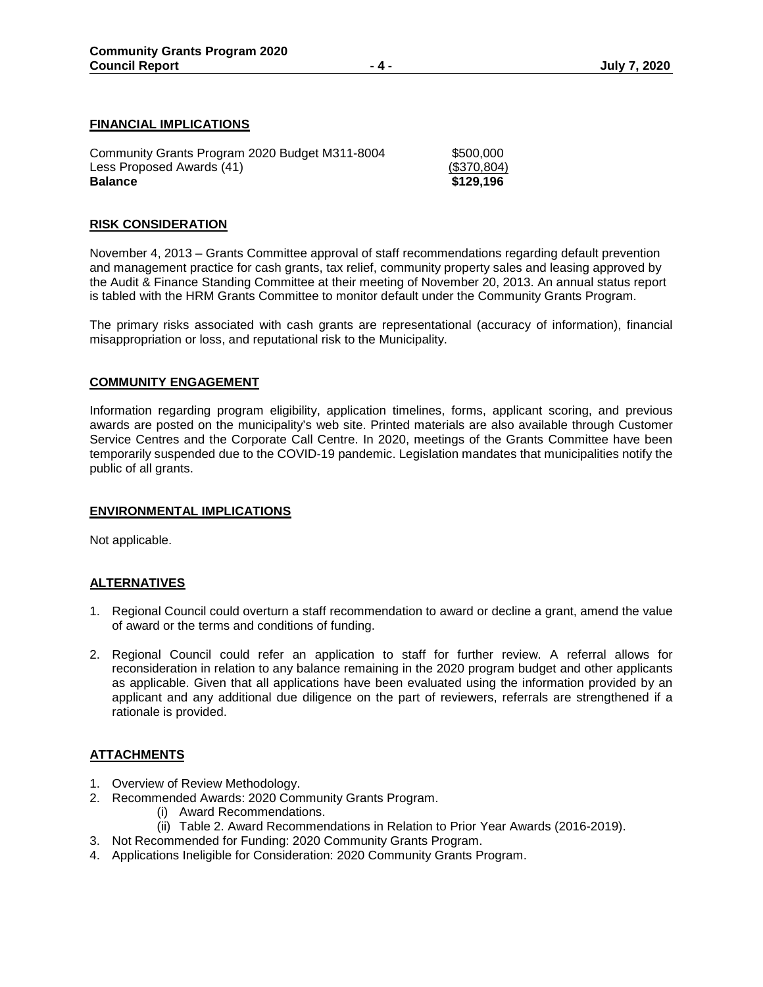#### **FINANCIAL IMPLICATIONS**

| Community Grants Program 2020 Budget M311-8004 | \$500,000   |
|------------------------------------------------|-------------|
| Less Proposed Awards (41)                      | (\$370,804) |
| <b>Balance</b>                                 | \$129,196   |

#### **RISK CONSIDERATION**

November 4, 2013 – Grants Committee approval of staff recommendations regarding default prevention and management practice for cash grants, tax relief, community property sales and leasing approved by the Audit & Finance Standing Committee at their meeting of November 20, 2013. An annual status report is tabled with the HRM Grants Committee to monitor default under the Community Grants Program.

The primary risks associated with cash grants are representational (accuracy of information), financial misappropriation or loss, and reputational risk to the Municipality.

#### **COMMUNITY ENGAGEMENT**

Information regarding program eligibility, application timelines, forms, applicant scoring, and previous awards are posted on the municipality's web site. Printed materials are also available through Customer Service Centres and the Corporate Call Centre. In 2020, meetings of the Grants Committee have been temporarily suspended due to the COVID-19 pandemic. Legislation mandates that municipalities notify the public of all grants.

#### **ENVIRONMENTAL IMPLICATIONS**

Not applicable.

#### **ALTERNATIVES**

- 1. Regional Council could overturn a staff recommendation to award or decline a grant, amend the value of award or the terms and conditions of funding.
- 2. Regional Council could refer an application to staff for further review. A referral allows for reconsideration in relation to any balance remaining in the 2020 program budget and other applicants as applicable. Given that all applications have been evaluated using the information provided by an applicant and any additional due diligence on the part of reviewers, referrals are strengthened if a rationale is provided.

#### **ATTACHMENTS**

- 1. Overview of Review Methodology.
- 2. Recommended Awards: 2020 Community Grants Program.
	- (i) Award Recommendations.
	- (ii) Table 2. Award Recommendations in Relation to Prior Year Awards (2016-2019).
- 3. Not Recommended for Funding: 2020 Community Grants Program.
- 4. Applications Ineligible for Consideration: 2020 Community Grants Program.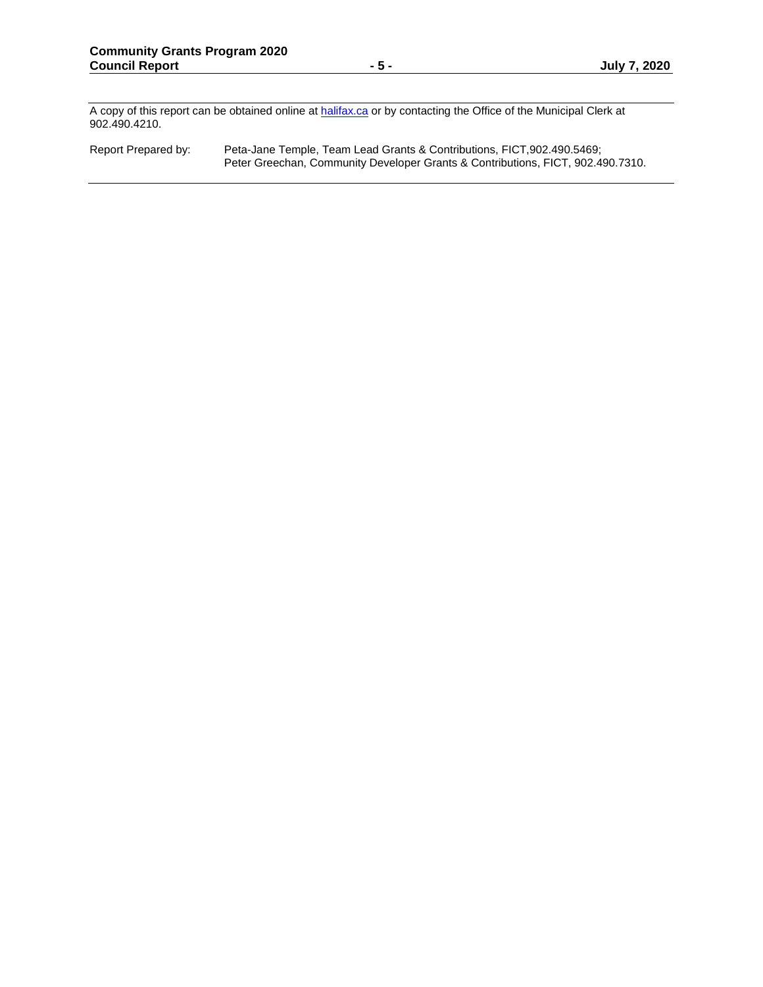A copy of this report can be obtained online at **halifax.ca** or by contacting the Office of the Municipal Clerk at 902.490.4210.

Report Prepared by: Peta-Jane Temple, Team Lead Grants & Contributions, FICT,902.490.5469; Peter Greechan, Community Developer Grants & Contributions, FICT, 902.490.7310.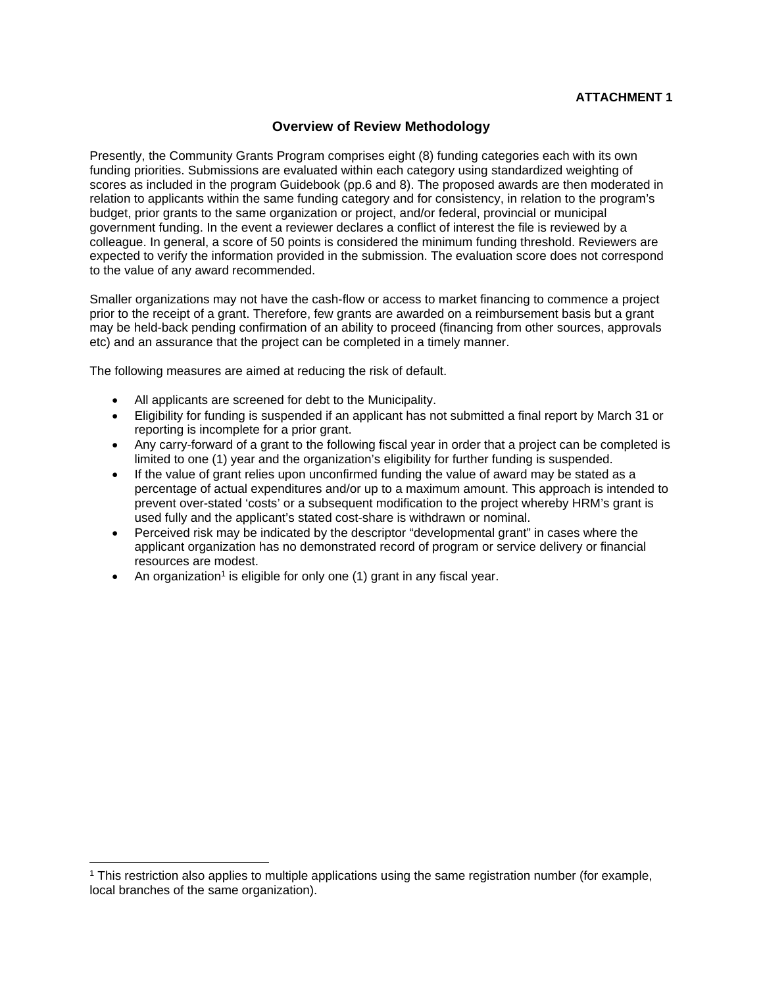## **Overview of Review Methodology**

Presently, the Community Grants Program comprises eight (8) funding categories each with its own funding priorities. Submissions are evaluated within each category using standardized weighting of scores as included in the program Guidebook (pp.6 and 8). The proposed awards are then moderated in relation to applicants within the same funding category and for consistency, in relation to the program's budget, prior grants to the same organization or project, and/or federal, provincial or municipal government funding. In the event a reviewer declares a conflict of interest the file is reviewed by a colleague. In general, a score of 50 points is considered the minimum funding threshold. Reviewers are expected to verify the information provided in the submission. The evaluation score does not correspond to the value of any award recommended.

Smaller organizations may not have the cash-flow or access to market financing to commence a project prior to the receipt of a grant. Therefore, few grants are awarded on a reimbursement basis but a grant may be held-back pending confirmation of an ability to proceed (financing from other sources, approvals etc) and an assurance that the project can be completed in a timely manner.

The following measures are aimed at reducing the risk of default.

- All applicants are screened for debt to the Municipality.
- Eligibility for funding is suspended if an applicant has not submitted a final report by March 31 or reporting is incomplete for a prior grant.
- Any carry-forward of a grant to the following fiscal year in order that a project can be completed is limited to one (1) year and the organization's eligibility for further funding is suspended.
- If the value of grant relies upon unconfirmed funding the value of award may be stated as a percentage of actual expenditures and/or up to a maximum amount. This approach is intended to prevent over-stated 'costs' or a subsequent modification to the project whereby HRM's grant is used fully and the applicant's stated cost-share is withdrawn or nominal.
- Perceived risk may be indicated by the descriptor "developmental grant" in cases where the applicant organization has no demonstrated record of program or service delivery or financial resources are modest.
- An organization<sup>1</sup> is eligible for only one  $(1)$  grant in any fiscal year.

 $\overline{a}$ 

<sup>1</sup> This restriction also applies to multiple applications using the same registration number (for example, local branches of the same organization).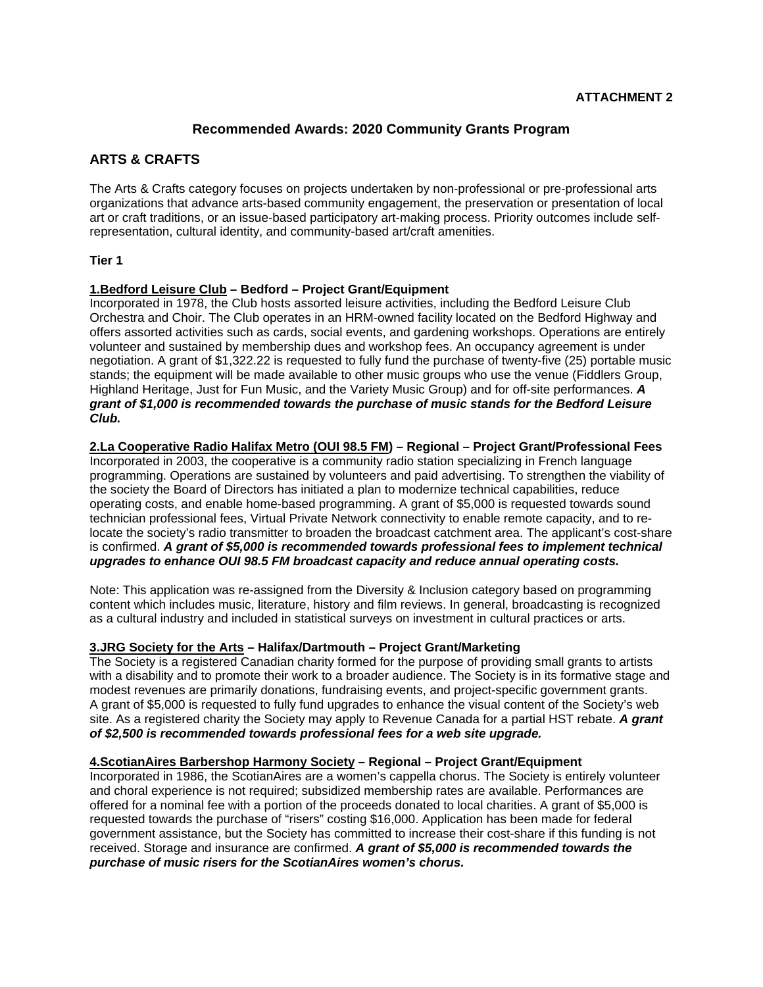## **Recommended Awards: 2020 Community Grants Program**

# **ARTS & CRAFTS**

The Arts & Crafts category focuses on projects undertaken by non-professional or pre-professional arts organizations that advance arts-based community engagement, the preservation or presentation of local art or craft traditions, or an issue-based participatory art-making process. Priority outcomes include selfrepresentation, cultural identity, and community-based art/craft amenities.

#### **Tier 1**

#### **1.Bedford Leisure Club – Bedford – Project Grant/Equipment**

Incorporated in 1978, the Club hosts assorted leisure activities, including the Bedford Leisure Club Orchestra and Choir. The Club operates in an HRM-owned facility located on the Bedford Highway and offers assorted activities such as cards, social events, and gardening workshops. Operations are entirely volunteer and sustained by membership dues and workshop fees. An occupancy agreement is under negotiation. A grant of \$1,322.22 is requested to fully fund the purchase of twenty-five (25) portable music stands; the equipment will be made available to other music groups who use the venue (Fiddlers Group, Highland Heritage, Just for Fun Music, and the Variety Music Group) and for off-site performances. *A grant of \$1,000 is recommended towards the purchase of music stands for the Bedford Leisure Club.*

#### **2.La Cooperative Radio Halifax Metro (OUI 98.5 FM) – Regional – Project Grant/Professional Fees**

Incorporated in 2003, the cooperative is a community radio station specializing in French language programming. Operations are sustained by volunteers and paid advertising. To strengthen the viability of the society the Board of Directors has initiated a plan to modernize technical capabilities, reduce operating costs, and enable home-based programming. A grant of \$5,000 is requested towards sound technician professional fees, Virtual Private Network connectivity to enable remote capacity, and to relocate the society's radio transmitter to broaden the broadcast catchment area. The applicant's cost-share is confirmed. *A grant of \$5,000 is recommended towards professional fees to implement technical upgrades to enhance OUI 98.5 FM broadcast capacity and reduce annual operating costs.*

Note: This application was re-assigned from the Diversity & Inclusion category based on programming content which includes music, literature, history and film reviews. In general, broadcasting is recognized as a cultural industry and included in statistical surveys on investment in cultural practices or arts.

#### **3.JRG Society for the Arts – Halifax/Dartmouth – Project Grant/Marketing**

The Society is a registered Canadian charity formed for the purpose of providing small grants to artists with a disability and to promote their work to a broader audience. The Society is in its formative stage and modest revenues are primarily donations, fundraising events, and project-specific government grants. A grant of \$5,000 is requested to fully fund upgrades to enhance the visual content of the Society's web site. As a registered charity the Society may apply to Revenue Canada for a partial HST rebate. *A grant of \$2,500 is recommended towards professional fees for a web site upgrade.*

#### **4.ScotianAires Barbershop Harmony Society – Regional – Project Grant/Equipment**

Incorporated in 1986, the ScotianAires are a women's cappella chorus. The Society is entirely volunteer and choral experience is not required; subsidized membership rates are available. Performances are offered for a nominal fee with a portion of the proceeds donated to local charities. A grant of \$5,000 is requested towards the purchase of "risers" costing \$16,000. Application has been made for federal government assistance, but the Society has committed to increase their cost-share if this funding is not received. Storage and insurance are confirmed. *A grant of \$5,000 is recommended towards the purchase of music risers for the ScotianAires women's chorus.*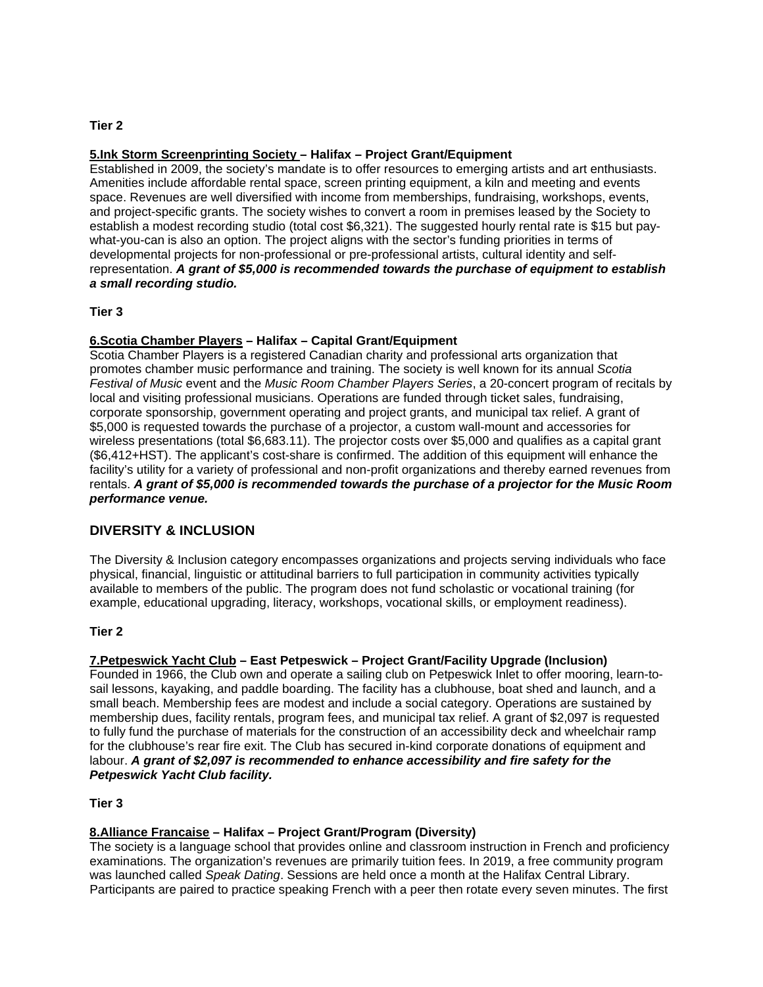#### **Tier 2**

#### **5.Ink Storm Screenprinting Society – Halifax – Project Grant/Equipment**

Established in 2009, the society's mandate is to offer resources to emerging artists and art enthusiasts. Amenities include affordable rental space, screen printing equipment, a kiln and meeting and events space. Revenues are well diversified with income from memberships, fundraising, workshops, events, and project-specific grants. The society wishes to convert a room in premises leased by the Society to establish a modest recording studio (total cost \$6,321). The suggested hourly rental rate is \$15 but paywhat-you-can is also an option. The project aligns with the sector's funding priorities in terms of developmental projects for non-professional or pre-professional artists, cultural identity and selfrepresentation. *A grant of \$5,000 is recommended towards the purchase of equipment to establish a small recording studio.*

#### **Tier 3**

#### **6.Scotia Chamber Players – Halifax – Capital Grant/Equipment**

Scotia Chamber Players is a registered Canadian charity and professional arts organization that promotes chamber music performance and training. The society is well known for its annual *Scotia Festival of Music* event and the *Music Room Chamber Players Series*, a 20-concert program of recitals by local and visiting professional musicians. Operations are funded through ticket sales, fundraising, corporate sponsorship, government operating and project grants, and municipal tax relief. A grant of \$5,000 is requested towards the purchase of a projector, a custom wall-mount and accessories for wireless presentations (total \$6,683.11). The projector costs over \$5,000 and qualifies as a capital grant (\$6,412+HST). The applicant's cost-share is confirmed. The addition of this equipment will enhance the facility's utility for a variety of professional and non-profit organizations and thereby earned revenues from rentals. *A grant of \$5,000 is recommended towards the purchase of a projector for the Music Room performance venue.*

## **DIVERSITY & INCLUSION**

The Diversity & Inclusion category encompasses organizations and projects serving individuals who face physical, financial, linguistic or attitudinal barriers to full participation in community activities typically available to members of the public. The program does not fund scholastic or vocational training (for example, educational upgrading, literacy, workshops, vocational skills, or employment readiness).

#### **Tier 2**

## **7.Petpeswick Yacht Club – East Petpeswick – Project Grant/Facility Upgrade (Inclusion)**

Founded in 1966, the Club own and operate a sailing club on Petpeswick Inlet to offer mooring, learn-tosail lessons, kayaking, and paddle boarding. The facility has a clubhouse, boat shed and launch, and a small beach. Membership fees are modest and include a social category. Operations are sustained by membership dues, facility rentals, program fees, and municipal tax relief. A grant of \$2,097 is requested to fully fund the purchase of materials for the construction of an accessibility deck and wheelchair ramp for the clubhouse's rear fire exit. The Club has secured in-kind corporate donations of equipment and labour. *A grant of \$2,097 is recommended to enhance accessibility and fire safety for the Petpeswick Yacht Club facility.*

#### **Tier 3**

#### **8.Alliance Francaise – Halifax – Project Grant/Program (Diversity)**

The society is a language school that provides online and classroom instruction in French and proficiency examinations. The organization's revenues are primarily tuition fees. In 2019, a free community program was launched called *Speak Dating*. Sessions are held once a month at the Halifax Central Library. Participants are paired to practice speaking French with a peer then rotate every seven minutes. The first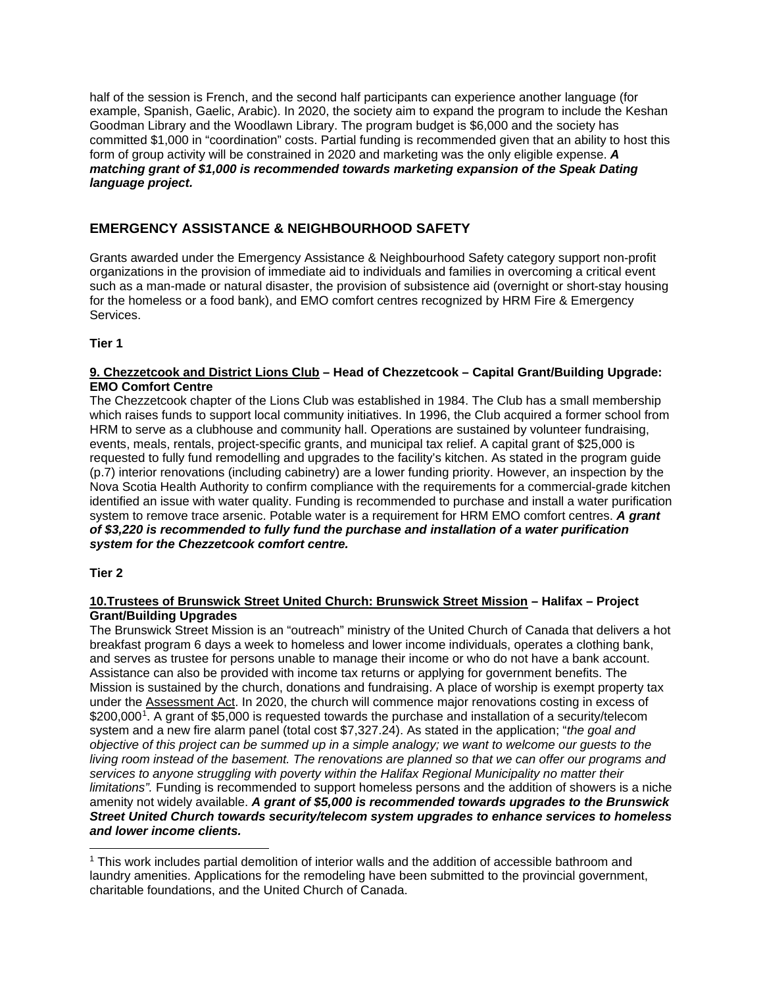half of the session is French, and the second half participants can experience another language (for example, Spanish, Gaelic, Arabic). In 2020, the society aim to expand the program to include the Keshan Goodman Library and the Woodlawn Library. The program budget is \$6,000 and the society has committed \$1,000 in "coordination" costs. Partial funding is recommended given that an ability to host this form of group activity will be constrained in 2020 and marketing was the only eligible expense. *A matching grant of \$1,000 is recommended towards marketing expansion of the Speak Dating language project.*

# **EMERGENCY ASSISTANCE & NEIGHBOURHOOD SAFETY**

Grants awarded under the Emergency Assistance & Neighbourhood Safety category support non-profit organizations in the provision of immediate aid to individuals and families in overcoming a critical event such as a man-made or natural disaster, the provision of subsistence aid (overnight or short-stay housing for the homeless or a food bank), and EMO comfort centres recognized by HRM Fire & Emergency Services.

## **Tier 1**

#### **9. Chezzetcook and District Lions Club – Head of Chezzetcook – Capital Grant/Building Upgrade: EMO Comfort Centre**

The Chezzetcook chapter of the Lions Club was established in 1984. The Club has a small membership which raises funds to support local community initiatives. In 1996, the Club acquired a former school from HRM to serve as a clubhouse and community hall. Operations are sustained by volunteer fundraising, events, meals, rentals, project-specific grants, and municipal tax relief. A capital grant of \$25,000 is requested to fully fund remodelling and upgrades to the facility's kitchen. As stated in the program guide (p.7) interior renovations (including cabinetry) are a lower funding priority. However, an inspection by the Nova Scotia Health Authority to confirm compliance with the requirements for a commercial-grade kitchen identified an issue with water quality. Funding is recommended to purchase and install a water purification system to remove trace arsenic. Potable water is a requirement for HRM EMO comfort centres. *A grant of \$3,220 is recommended to fully fund the purchase and installation of a water purification system for the Chezzetcook comfort centre.*

## **Tier 2**

#### **10.Trustees of Brunswick Street United Church: Brunswick Street Mission – Halifax – Project Grant/Building Upgrades**

The Brunswick Street Mission is an "outreach" ministry of the United Church of Canada that delivers a hot breakfast program 6 days a week to homeless and lower income individuals, operates a clothing bank, and serves as trustee for persons unable to manage their income or who do not have a bank account. Assistance can also be provided with income tax returns or applying for government benefits. The Mission is sustained by the church, donations and fundraising. A place of worship is exempt property tax under the Assessment Act. In 2020, the church will commence major renovations costing in excess of \$200,000<sup>1</sup>. A grant of \$5,000 is requested towards the purchase and installation of a security/telecom system and a new fire alarm panel (total cost \$7,327.24). As stated in the application; "*the goal and objective of this project can be summed up in a simple analogy; we want to welcome our guests to the living room instead of the basement. The renovations are planned so that we can offer our programs and services to anyone struggling with poverty within the Halifax Regional Municipality no matter their limitations".* Funding is recommended to support homeless persons and the addition of showers is a niche amenity not widely available. *A grant of \$5,000 is recommended towards upgrades to the Brunswick Street United Church towards security/telecom system upgrades to enhance services to homeless and lower income clients.*

<span id="page-8-0"></span><sup>&</sup>lt;sup>1</sup> This work includes partial demolition of interior walls and the addition of accessible bathroom and laundry amenities. Applications for the remodeling have been submitted to the provincial government, charitable foundations, and the United Church of Canada.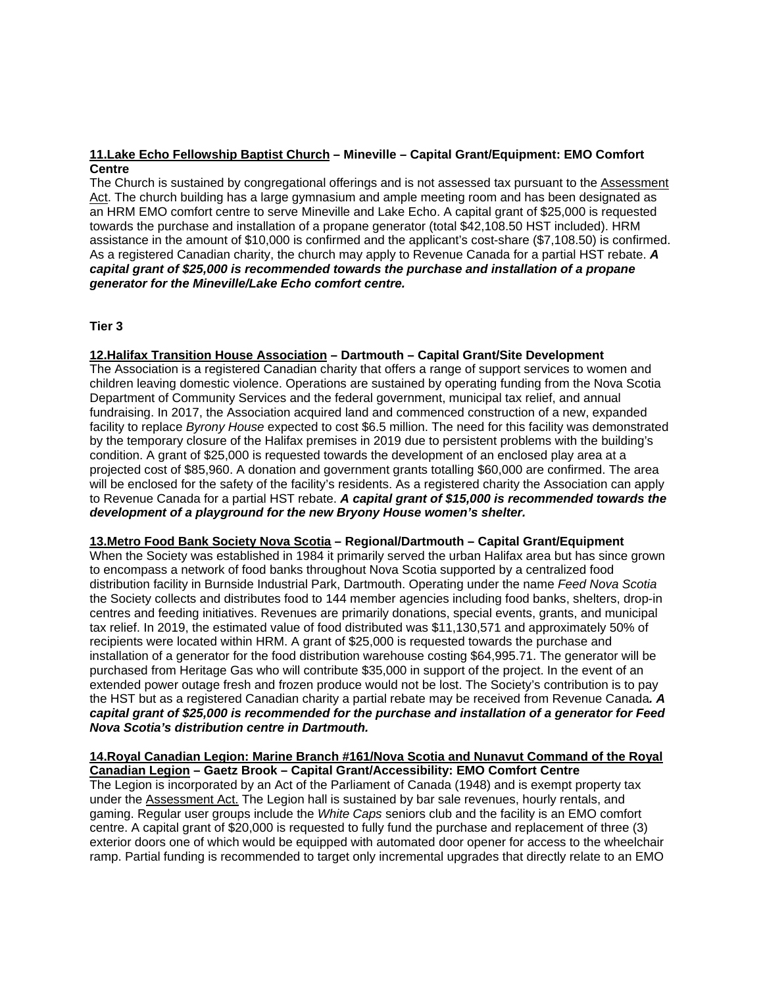## **11.Lake Echo Fellowship Baptist Church – Mineville – Capital Grant/Equipment: EMO Comfort Centre**

The Church is sustained by congregational offerings and is not assessed tax pursuant to the Assessment Act. The church building has a large gymnasium and ample meeting room and has been designated as an HRM EMO comfort centre to serve Mineville and Lake Echo. A capital grant of \$25,000 is requested towards the purchase and installation of a propane generator (total \$42,108.50 HST included). HRM assistance in the amount of \$10,000 is confirmed and the applicant's cost-share (\$7,108.50) is confirmed. As a registered Canadian charity, the church may apply to Revenue Canada for a partial HST rebate. *A capital grant of \$25,000 is recommended towards the purchase and installation of a propane generator for the Mineville/Lake Echo comfort centre.*

#### **Tier 3**

#### **12.Halifax Transition House Association – Dartmouth – Capital Grant/Site Development**

The Association is a registered Canadian charity that offers a range of support services to women and children leaving domestic violence. Operations are sustained by operating funding from the Nova Scotia Department of Community Services and the federal government, municipal tax relief, and annual fundraising. In 2017, the Association acquired land and commenced construction of a new, expanded facility to replace *Byrony House* expected to cost \$6.5 million. The need for this facility was demonstrated by the temporary closure of the Halifax premises in 2019 due to persistent problems with the building's condition. A grant of \$25,000 is requested towards the development of an enclosed play area at a projected cost of \$85,960. A donation and government grants totalling \$60,000 are confirmed. The area will be enclosed for the safety of the facility's residents. As a registered charity the Association can apply to Revenue Canada for a partial HST rebate. *A capital grant of \$15,000 is recommended towards the development of a playground for the new Bryony House women's shelter.*

#### **13.Metro Food Bank Society Nova Scotia – Regional/Dartmouth – Capital Grant/Equipment**

When the Society was established in 1984 it primarily served the urban Halifax area but has since grown to encompass a network of food banks throughout Nova Scotia supported by a centralized food distribution facility in Burnside Industrial Park, Dartmouth. Operating under the name *Feed Nova Scotia* the Society collects and distributes food to 144 member agencies including food banks, shelters, drop-in centres and feeding initiatives. Revenues are primarily donations, special events, grants, and municipal tax relief. In 2019, the estimated value of food distributed was \$11,130,571 and approximately 50% of recipients were located within HRM. A grant of \$25,000 is requested towards the purchase and installation of a generator for the food distribution warehouse costing \$64,995.71. The generator will be purchased from Heritage Gas who will contribute \$35,000 in support of the project. In the event of an extended power outage fresh and frozen produce would not be lost. The Society's contribution is to pay the HST but as a registered Canadian charity a partial rebate may be received from Revenue Canada*. A capital grant of \$25,000 is recommended for the purchase and installation of a generator for Feed Nova Scotia's distribution centre in Dartmouth.*

#### **14.Royal Canadian Legion: Marine Branch #161/Nova Scotia and Nunavut Command of the Royal Canadian Legion – Gaetz Brook – Capital Grant/Accessibility: EMO Comfort Centre**

The Legion is incorporated by an Act of the Parliament of Canada (1948) and is exempt property tax under the Assessment Act. The Legion hall is sustained by bar sale revenues, hourly rentals, and gaming. Regular user groups include the *White Caps* seniors club and the facility is an EMO comfort centre. A capital grant of \$20,000 is requested to fully fund the purchase and replacement of three (3) exterior doors one of which would be equipped with automated door opener for access to the wheelchair ramp. Partial funding is recommended to target only incremental upgrades that directly relate to an EMO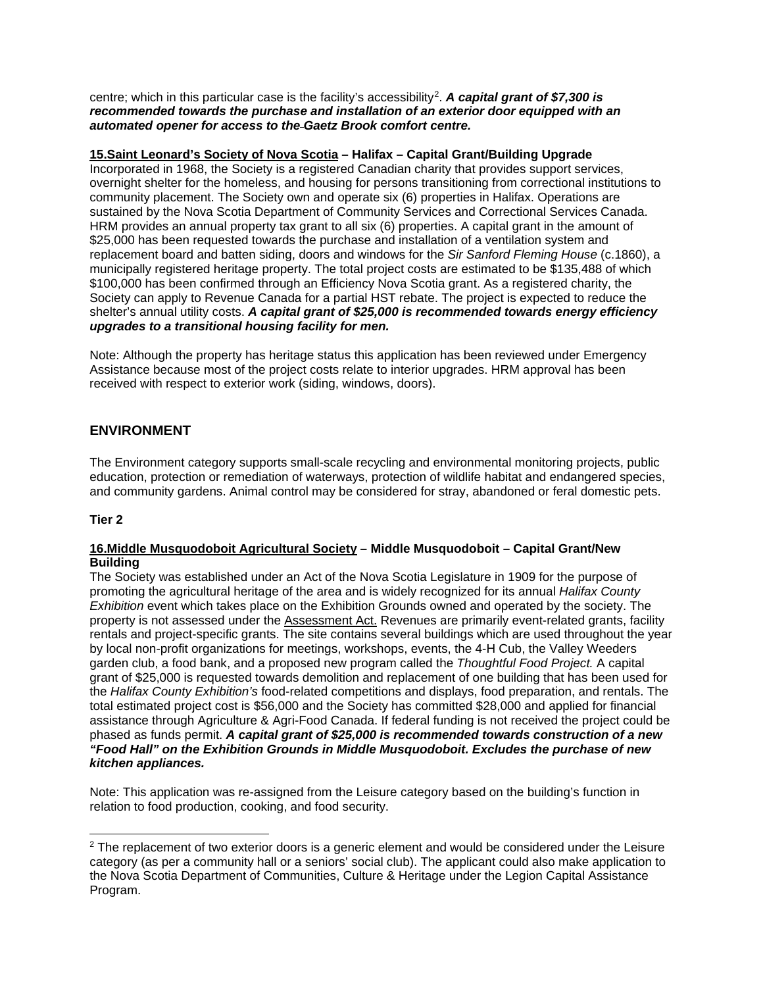centre; which in this particular case is the facility's accessibility[2](#page-10-0). *A capital grant of \$7,300 is recommended towards the purchase and installation of an exterior door equipped with an automated opener for access to the Gaetz Brook comfort centre.*

## **15.Saint Leonard's Society of Nova Scotia – Halifax – Capital Grant/Building Upgrade**

Incorporated in 1968, the Society is a registered Canadian charity that provides support services, overnight shelter for the homeless, and housing for persons transitioning from correctional institutions to community placement. The Society own and operate six (6) properties in Halifax. Operations are sustained by the Nova Scotia Department of Community Services and Correctional Services Canada. HRM provides an annual property tax grant to all six (6) properties. A capital grant in the amount of \$25,000 has been requested towards the purchase and installation of a ventilation system and replacement board and batten siding, doors and windows for the *Sir Sanford Fleming House* (c.1860), a municipally registered heritage property. The total project costs are estimated to be \$135,488 of which \$100,000 has been confirmed through an Efficiency Nova Scotia grant. As a registered charity, the Society can apply to Revenue Canada for a partial HST rebate. The project is expected to reduce the shelter's annual utility costs. *A capital grant of \$25,000 is recommended towards energy efficiency upgrades to a transitional housing facility for men.*

Note: Although the property has heritage status this application has been reviewed under Emergency Assistance because most of the project costs relate to interior upgrades. HRM approval has been received with respect to exterior work (siding, windows, doors).

## **ENVIRONMENT**

The Environment category supports small-scale recycling and environmental monitoring projects, public education, protection or remediation of waterways, protection of wildlife habitat and endangered species, and community gardens. Animal control may be considered for stray, abandoned or feral domestic pets.

#### **Tier 2**

#### **16.Middle Musquodoboit Agricultural Society – Middle Musquodoboit – Capital Grant/New Building**

The Society was established under an Act of the Nova Scotia Legislature in 1909 for the purpose of promoting the agricultural heritage of the area and is widely recognized for its annual *Halifax County Exhibition* event which takes place on the Exhibition Grounds owned and operated by the society. The property is not assessed under the Assessment Act. Revenues are primarily event-related grants, facility rentals and project-specific grants. The site contains several buildings which are used throughout the year by local non-profit organizations for meetings, workshops, events, the 4-H Cub, the Valley Weeders garden club, a food bank, and a proposed new program called the *Thoughtful Food Project.* A capital grant of \$25,000 is requested towards demolition and replacement of one building that has been used for the *Halifax County Exhibition's* food-related competitions and displays, food preparation, and rentals. The total estimated project cost is \$56,000 and the Society has committed \$28,000 and applied for financial assistance through Agriculture & Agri-Food Canada. If federal funding is not received the project could be phased as funds permit. *A capital grant of \$25,000 is recommended towards construction of a new "Food Hall" on the Exhibition Grounds in Middle Musquodoboit. Excludes the purchase of new kitchen appliances.*

Note: This application was re-assigned from the Leisure category based on the building's function in relation to food production, cooking, and food security.

<span id="page-10-0"></span> $2$  The replacement of two exterior doors is a generic element and would be considered under the Leisure category (as per a community hall or a seniors' social club). The applicant could also make application to the Nova Scotia Department of Communities, Culture & Heritage under the Legion Capital Assistance Program.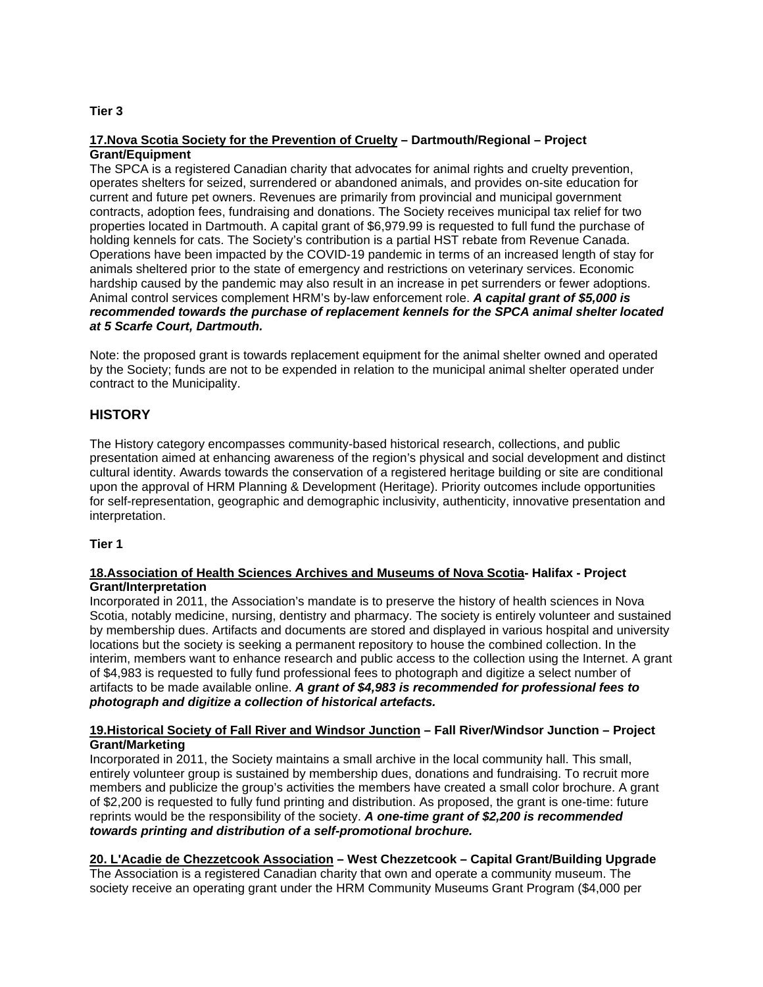#### **Tier 3**

#### **17.Nova Scotia Society for the Prevention of Cruelty – Dartmouth/Regional – Project Grant/Equipment**

The SPCA is a registered Canadian charity that advocates for animal rights and cruelty prevention, operates shelters for seized, surrendered or abandoned animals, and provides on-site education for current and future pet owners. Revenues are primarily from provincial and municipal government contracts, adoption fees, fundraising and donations. The Society receives municipal tax relief for two properties located in Dartmouth. A capital grant of \$6,979.99 is requested to full fund the purchase of holding kennels for cats. The Society's contribution is a partial HST rebate from Revenue Canada. Operations have been impacted by the COVID-19 pandemic in terms of an increased length of stay for animals sheltered prior to the state of emergency and restrictions on veterinary services. Economic hardship caused by the pandemic may also result in an increase in pet surrenders or fewer adoptions. Animal control services complement HRM's by-law enforcement role. *A capital grant of \$5,000 is recommended towards the purchase of replacement kennels for the SPCA animal shelter located at 5 Scarfe Court, Dartmouth.*

Note: the proposed grant is towards replacement equipment for the animal shelter owned and operated by the Society; funds are not to be expended in relation to the municipal animal shelter operated under contract to the Municipality.

## **HISTORY**

The History category encompasses community-based historical research, collections, and public presentation aimed at enhancing awareness of the region's physical and social development and distinct cultural identity. Awards towards the conservation of a registered heritage building or site are conditional upon the approval of HRM Planning & Development (Heritage). Priority outcomes include opportunities for self-representation, geographic and demographic inclusivity, authenticity, innovative presentation and interpretation.

#### **Tier 1**

#### **18.Association of Health Sciences Archives and Museums of Nova Scotia- Halifax - Project Grant/Interpretation**

Incorporated in 2011, the Association's mandate is to preserve the history of health sciences in Nova Scotia, notably medicine, nursing, dentistry and pharmacy. The society is entirely volunteer and sustained by membership dues. Artifacts and documents are stored and displayed in various hospital and university locations but the society is seeking a permanent repository to house the combined collection. In the interim, members want to enhance research and public access to the collection using the Internet. A grant of \$4,983 is requested to fully fund professional fees to photograph and digitize a select number of artifacts to be made available online. *A grant of \$4,983 is recommended for professional fees to photograph and digitize a collection of historical artefacts.*

#### **19.Historical Society of Fall River and Windsor Junction – Fall River/Windsor Junction – Project Grant/Marketing**

Incorporated in 2011, the Society maintains a small archive in the local community hall. This small, entirely volunteer group is sustained by membership dues, donations and fundraising. To recruit more members and publicize the group's activities the members have created a small color brochure. A grant of \$2,200 is requested to fully fund printing and distribution. As proposed, the grant is one-time: future reprints would be the responsibility of the society. *A one-time grant of \$2,200 is recommended towards printing and distribution of a self-promotional brochure.*

# **20. L'Acadie de Chezzetcook Association – West Chezzetcook – Capital Grant/Building Upgrade**

The Association is a registered Canadian charity that own and operate a community museum. The society receive an operating grant under the HRM Community Museums Grant Program (\$4,000 per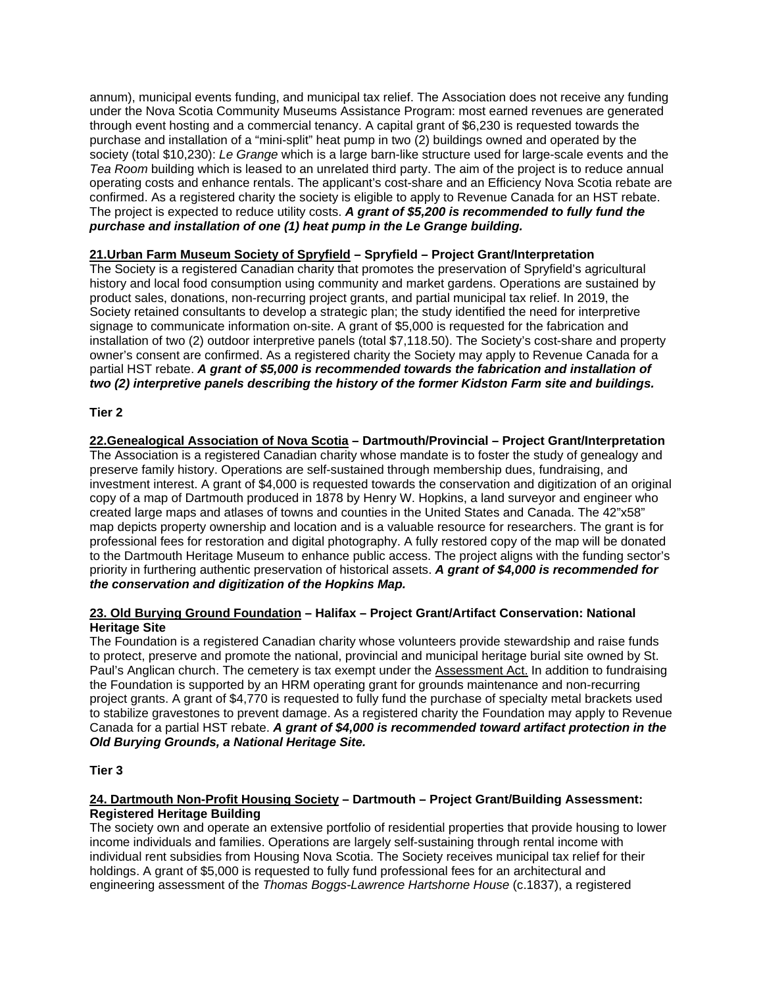annum), municipal events funding, and municipal tax relief. The Association does not receive any funding under the Nova Scotia Community Museums Assistance Program: most earned revenues are generated through event hosting and a commercial tenancy. A capital grant of \$6,230 is requested towards the purchase and installation of a "mini-split" heat pump in two (2) buildings owned and operated by the society (total \$10,230): *Le Grange* which is a large barn-like structure used for large-scale events and the *Tea Room* building which is leased to an unrelated third party. The aim of the project is to reduce annual operating costs and enhance rentals. The applicant's cost-share and an Efficiency Nova Scotia rebate are confirmed. As a registered charity the society is eligible to apply to Revenue Canada for an HST rebate. The project is expected to reduce utility costs. *A grant of \$5,200 is recommended to fully fund the purchase and installation of one (1) heat pump in the Le Grange building.*

## **21.Urban Farm Museum Society of Spryfield – Spryfield – Project Grant/Interpretation**

The Society is a registered Canadian charity that promotes the preservation of Spryfield's agricultural history and local food consumption using community and market gardens. Operations are sustained by product sales, donations, non-recurring project grants, and partial municipal tax relief. In 2019, the Society retained consultants to develop a strategic plan; the study identified the need for interpretive signage to communicate information on-site. A grant of \$5,000 is requested for the fabrication and installation of two (2) outdoor interpretive panels (total \$7,118.50). The Society's cost-share and property owner's consent are confirmed. As a registered charity the Society may apply to Revenue Canada for a partial HST rebate. *A grant of \$5,000 is recommended towards the fabrication and installation of two (2) interpretive panels describing the history of the former Kidston Farm site and buildings.*

## **Tier 2**

**22.Genealogical Association of Nova Scotia – Dartmouth/Provincial – Project Grant/Interpretation** The Association is a registered Canadian charity whose mandate is to foster the study of genealogy and preserve family history. Operations are self-sustained through membership dues, fundraising, and investment interest. A grant of \$4,000 is requested towards the conservation and digitization of an original copy of a map of Dartmouth produced in 1878 by Henry W. Hopkins, a land surveyor and engineer who created large maps and atlases of towns and counties in the United States and Canada. The 42"x58" map depicts property ownership and location and is a valuable resource for researchers. The grant is for professional fees for restoration and digital photography. A fully restored copy of the map will be donated to the Dartmouth Heritage Museum to enhance public access. The project aligns with the funding sector's priority in furthering authentic preservation of historical assets. *A grant of \$4,000 is recommended for the conservation and digitization of the Hopkins Map.*

## **23. Old Burying Ground Foundation – Halifax – Project Grant/Artifact Conservation: National Heritage Site**

The Foundation is a registered Canadian charity whose volunteers provide stewardship and raise funds to protect, preserve and promote the national, provincial and municipal heritage burial site owned by St. Paul's Anglican church. The cemetery is tax exempt under the Assessment Act. In addition to fundraising the Foundation is supported by an HRM operating grant for grounds maintenance and non-recurring project grants. A grant of \$4,770 is requested to fully fund the purchase of specialty metal brackets used to stabilize gravestones to prevent damage. As a registered charity the Foundation may apply to Revenue Canada for a partial HST rebate. *A grant of \$4,000 is recommended toward artifact protection in the Old Burying Grounds, a National Heritage Site.*

## **Tier 3**

#### **24. Dartmouth Non-Profit Housing Society – Dartmouth – Project Grant/Building Assessment: Registered Heritage Building**

The society own and operate an extensive portfolio of residential properties that provide housing to lower income individuals and families. Operations are largely self-sustaining through rental income with individual rent subsidies from Housing Nova Scotia. The Society receives municipal tax relief for their holdings. A grant of \$5,000 is requested to fully fund professional fees for an architectural and engineering assessment of the *Thomas Boggs-Lawrence Hartshorne House* (c.1837), a registered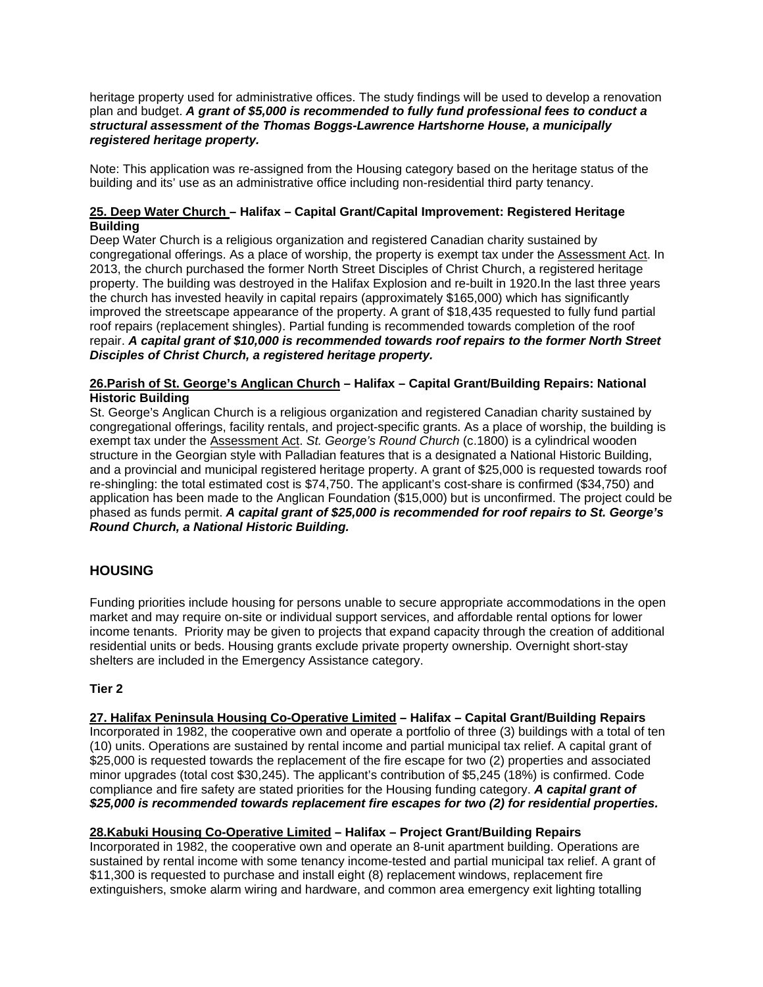heritage property used for administrative offices. The study findings will be used to develop a renovation plan and budget. *A grant of \$5,000 is recommended to fully fund professional fees to conduct a structural assessment of the Thomas Boggs-Lawrence Hartshorne House, a municipally registered heritage property.*

Note: This application was re-assigned from the Housing category based on the heritage status of the building and its' use as an administrative office including non-residential third party tenancy.

#### **25. Deep Water Church – Halifax – Capital Grant/Capital Improvement: Registered Heritage Building**

Deep Water Church is a religious organization and registered Canadian charity sustained by congregational offerings. As a place of worship, the property is exempt tax under the Assessment Act. In 2013, the church purchased the former North Street Disciples of Christ Church, a registered heritage property. The building was destroyed in the Halifax Explosion and re-built in 1920.In the last three years the church has invested heavily in capital repairs (approximately \$165,000) which has significantly improved the streetscape appearance of the property. A grant of \$18,435 requested to fully fund partial roof repairs (replacement shingles). Partial funding is recommended towards completion of the roof repair. *A capital grant of \$10,000 is recommended towards roof repairs to the former North Street Disciples of Christ Church, a registered heritage property.*

#### **26.Parish of St. George's Anglican Church – Halifax – Capital Grant/Building Repairs: National Historic Building**

St. George's Anglican Church is a religious organization and registered Canadian charity sustained by congregational offerings, facility rentals, and project-specific grants. As a place of worship, the building is exempt tax under the Assessment Act. *St. George's Round Church* (c.1800) is a cylindrical wooden structure in the Georgian style with Palladian features that is a designated a National Historic Building, and a provincial and municipal registered heritage property. A grant of \$25,000 is requested towards roof re-shingling: the total estimated cost is \$74,750. The applicant's cost-share is confirmed (\$34,750) and application has been made to the Anglican Foundation (\$15,000) but is unconfirmed. The project could be phased as funds permit. *A capital grant of \$25,000 is recommended for roof repairs to St. George's Round Church, a National Historic Building.*

# **HOUSING**

Funding priorities include housing for persons unable to secure appropriate accommodations in the open market and may require on-site or individual support services, and affordable rental options for lower income tenants. Priority may be given to projects that expand capacity through the creation of additional residential units or beds. Housing grants exclude private property ownership. Overnight short-stay shelters are included in the Emergency Assistance category.

#### **Tier 2**

**27. Halifax Peninsula Housing Co-Operative Limited – Halifax – Capital Grant/Building Repairs** Incorporated in 1982, the cooperative own and operate a portfolio of three (3) buildings with a total of ten (10) units. Operations are sustained by rental income and partial municipal tax relief. A capital grant of \$25,000 is requested towards the replacement of the fire escape for two (2) properties and associated minor upgrades (total cost \$30,245). The applicant's contribution of \$5,245 (18%) is confirmed. Code compliance and fire safety are stated priorities for the Housing funding category. *A capital grant of \$25,000 is recommended towards replacement fire escapes for two (2) for residential properties.*

## **28.Kabuki Housing Co-Operative Limited – Halifax – Project Grant/Building Repairs**

Incorporated in 1982, the cooperative own and operate an 8-unit apartment building. Operations are sustained by rental income with some tenancy income-tested and partial municipal tax relief. A grant of \$11,300 is requested to purchase and install eight (8) replacement windows, replacement fire extinguishers, smoke alarm wiring and hardware, and common area emergency exit lighting totalling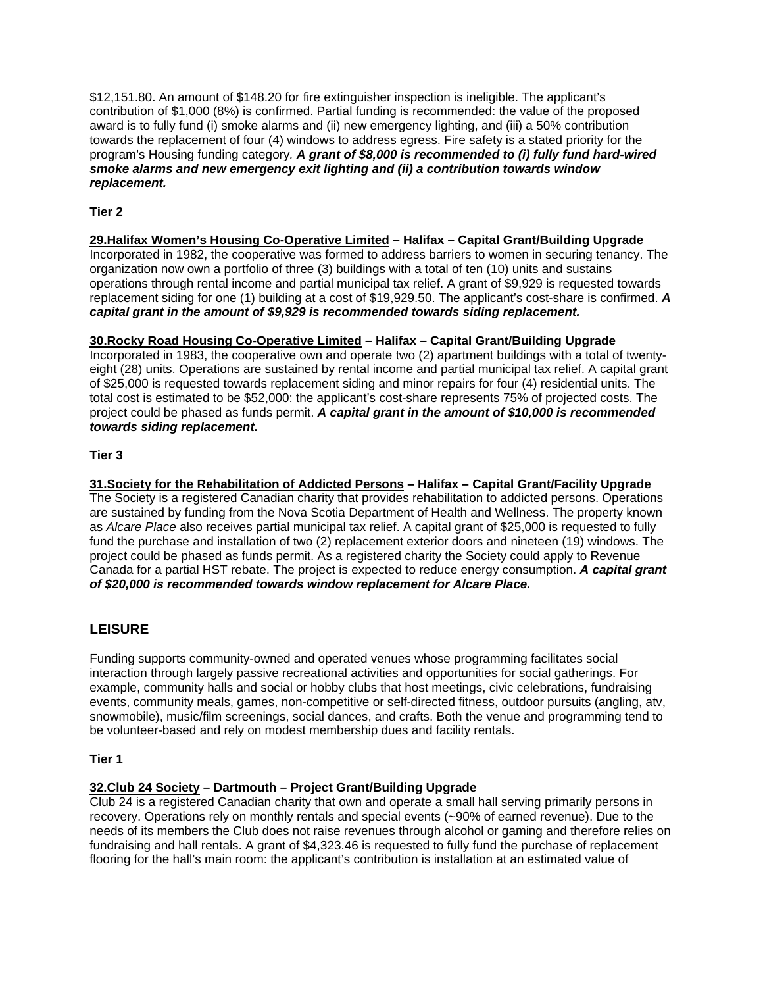\$12,151.80. An amount of \$148.20 for fire extinguisher inspection is ineligible. The applicant's contribution of \$1,000 (8%) is confirmed. Partial funding is recommended: the value of the proposed award is to fully fund (i) smoke alarms and (ii) new emergency lighting, and (iii) a 50% contribution towards the replacement of four (4) windows to address egress. Fire safety is a stated priority for the program's Housing funding category*. A grant of \$8,000 is recommended to (i) fully fund hard-wired smoke alarms and new emergency exit lighting and (ii) a contribution towards window replacement.*

## **Tier 2**

## **29.Halifax Women's Housing Co-Operative Limited – Halifax – Capital Grant/Building Upgrade**

Incorporated in 1982, the cooperative was formed to address barriers to women in securing tenancy. The organization now own a portfolio of three (3) buildings with a total of ten (10) units and sustains operations through rental income and partial municipal tax relief. A grant of \$9,929 is requested towards replacement siding for one (1) building at a cost of \$19,929.50. The applicant's cost-share is confirmed. *A capital grant in the amount of \$9,929 is recommended towards siding replacement.*

## **30.Rocky Road Housing Co-Operative Limited – Halifax – Capital Grant/Building Upgrade**

Incorporated in 1983, the cooperative own and operate two (2) apartment buildings with a total of twentyeight (28) units. Operations are sustained by rental income and partial municipal tax relief. A capital grant of \$25,000 is requested towards replacement siding and minor repairs for four (4) residential units. The total cost is estimated to be \$52,000: the applicant's cost-share represents 75% of projected costs. The project could be phased as funds permit. *A capital grant in the amount of \$10,000 is recommended towards siding replacement.*

## **Tier 3**

**31.Society for the Rehabilitation of Addicted Persons – Halifax – Capital Grant/Facility Upgrade** The Society is a registered Canadian charity that provides rehabilitation to addicted persons. Operations are sustained by funding from the Nova Scotia Department of Health and Wellness. The property known as *Alcare Place* also receives partial municipal tax relief. A capital grant of \$25,000 is requested to fully fund the purchase and installation of two (2) replacement exterior doors and nineteen (19) windows. The project could be phased as funds permit. As a registered charity the Society could apply to Revenue Canada for a partial HST rebate. The project is expected to reduce energy consumption. *A capital grant of \$20,000 is recommended towards window replacement for Alcare Place.*

# **LEISURE**

Funding supports community-owned and operated venues whose programming facilitates social interaction through largely passive recreational activities and opportunities for social gatherings. For example, community halls and social or hobby clubs that host meetings, civic celebrations, fundraising events, community meals, games, non-competitive or self-directed fitness, outdoor pursuits (angling, atv, snowmobile), music/film screenings, social dances, and crafts. Both the venue and programming tend to be volunteer-based and rely on modest membership dues and facility rentals.

## **Tier 1**

## **32.Club 24 Society – Dartmouth – Project Grant/Building Upgrade**

Club 24 is a registered Canadian charity that own and operate a small hall serving primarily persons in recovery. Operations rely on monthly rentals and special events (~90% of earned revenue). Due to the needs of its members the Club does not raise revenues through alcohol or gaming and therefore relies on fundraising and hall rentals. A grant of \$4,323.46 is requested to fully fund the purchase of replacement flooring for the hall's main room: the applicant's contribution is installation at an estimated value of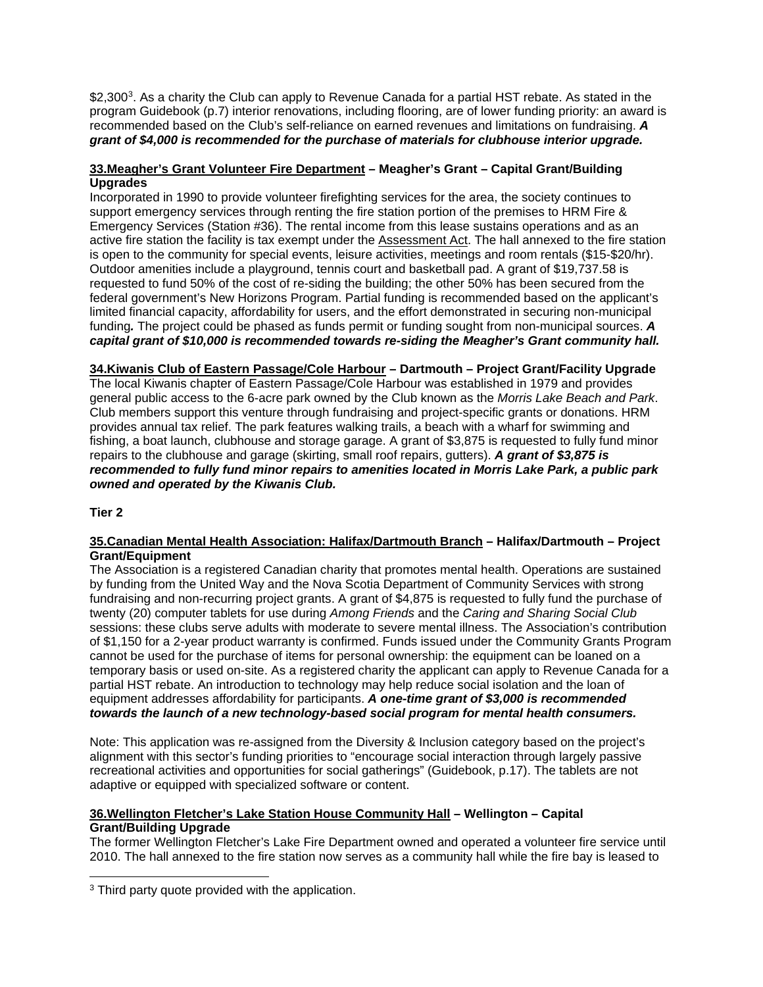\$2,300<sup>3</sup>. As a charity the Club can apply to Revenue Canada for a partial HST rebate. As stated in the program Guidebook (p.7) interior renovations, including flooring, are of lower funding priority: an award is recommended based on the Club's self-reliance on earned revenues and limitations on fundraising. *A grant of \$4,000 is recommended for the purchase of materials for clubhouse interior upgrade.*

## **33.Meagher's Grant Volunteer Fire Department – Meagher's Grant – Capital Grant/Building Upgrades**

Incorporated in 1990 to provide volunteer firefighting services for the area, the society continues to support emergency services through renting the fire station portion of the premises to HRM Fire & Emergency Services (Station #36). The rental income from this lease sustains operations and as an active fire station the facility is tax exempt under the Assessment Act. The hall annexed to the fire station is open to the community for special events, leisure activities, meetings and room rentals (\$15-\$20/hr). Outdoor amenities include a playground, tennis court and basketball pad. A grant of \$19,737.58 is requested to fund 50% of the cost of re-siding the building; the other 50% has been secured from the federal government's New Horizons Program. Partial funding is recommended based on the applicant's limited financial capacity, affordability for users, and the effort demonstrated in securing non-municipal funding*.* The project could be phased as funds permit or funding sought from non-municipal sources. *A capital grant of \$10,000 is recommended towards re-siding the Meagher's Grant community hall.*

**34.Kiwanis Club of Eastern Passage/Cole Harbour – Dartmouth – Project Grant/Facility Upgrade** The local Kiwanis chapter of Eastern Passage/Cole Harbour was established in 1979 and provides general public access to the 6-acre park owned by the Club known as the *Morris Lake Beach and Park*. Club members support this venture through fundraising and project-specific grants or donations. HRM provides annual tax relief. The park features walking trails, a beach with a wharf for swimming and fishing, a boat launch, clubhouse and storage garage. A grant of \$3,875 is requested to fully fund minor repairs to the clubhouse and garage (skirting, small roof repairs, gutters). *A grant of \$3,875 is recommended to fully fund minor repairs to amenities located in Morris Lake Park, a public park owned and operated by the Kiwanis Club.*

**Tier 2**

#### **35.Canadian Mental Health Association: Halifax/Dartmouth Branch – Halifax/Dartmouth – Project Grant/Equipment**

The Association is a registered Canadian charity that promotes mental health. Operations are sustained by funding from the United Way and the Nova Scotia Department of Community Services with strong fundraising and non-recurring project grants. A grant of \$4,875 is requested to fully fund the purchase of twenty (20) computer tablets for use during *Among Friends* and the *Caring and Sharing Social Club* sessions: these clubs serve adults with moderate to severe mental illness. The Association's contribution of \$1,150 for a 2-year product warranty is confirmed. Funds issued under the Community Grants Program cannot be used for the purchase of items for personal ownership: the equipment can be loaned on a temporary basis or used on-site. As a registered charity the applicant can apply to Revenue Canada for a partial HST rebate. An introduction to technology may help reduce social isolation and the loan of equipment addresses affordability for participants. *A one-time grant of \$3,000 is recommended towards the launch of a new technology-based social program for mental health consumers.*

Note: This application was re-assigned from the Diversity & Inclusion category based on the project's alignment with this sector's funding priorities to "encourage social interaction through largely passive recreational activities and opportunities for social gatherings" (Guidebook, p.17). The tablets are not adaptive or equipped with specialized software or content.

#### **36.Wellington Fletcher's Lake Station House Community Hall – Wellington – Capital Grant/Building Upgrade**

The former Wellington Fletcher's Lake Fire Department owned and operated a volunteer fire service until 2010. The hall annexed to the fire station now serves as a community hall while the fire bay is leased to

<span id="page-15-0"></span><sup>&</sup>lt;sup>3</sup> Third party quote provided with the application.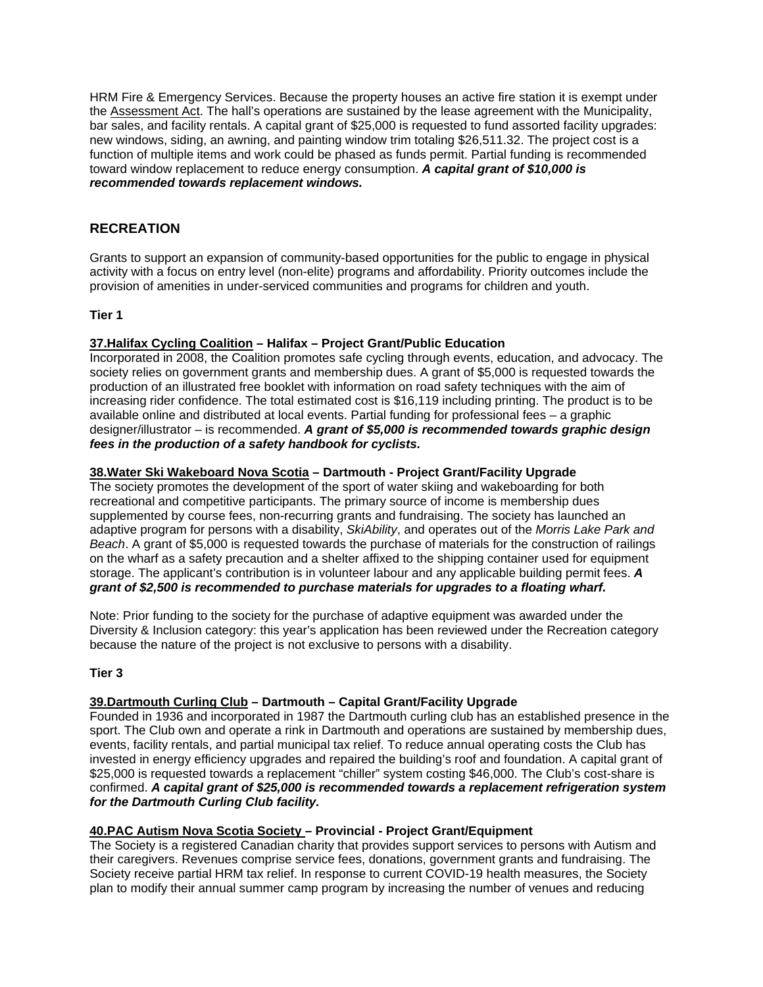HRM Fire & Emergency Services. Because the property houses an active fire station it is exempt under the Assessment Act. The hall's operations are sustained by the lease agreement with the Municipality, bar sales, and facility rentals. A capital grant of \$25,000 is requested to fund assorted facility upgrades: new windows, siding, an awning, and painting window trim totaling \$26,511.32. The project cost is a function of multiple items and work could be phased as funds permit. Partial funding is recommended toward window replacement to reduce energy consumption. *A capital grant of \$10,000 is recommended towards replacement windows.*

# **RECREATION**

Grants to support an expansion of community-based opportunities for the public to engage in physical activity with a focus on entry level (non-elite) programs and affordability. Priority outcomes include the provision of amenities in under-serviced communities and programs for children and youth.

## **Tier 1**

## **37.Halifax Cycling Coalition – Halifax – Project Grant/Public Education**

Incorporated in 2008, the Coalition promotes safe cycling through events, education, and advocacy. The society relies on government grants and membership dues. A grant of \$5,000 is requested towards the production of an illustrated free booklet with information on road safety techniques with the aim of increasing rider confidence. The total estimated cost is \$16,119 including printing. The product is to be available online and distributed at local events. Partial funding for professional fees – a graphic designer/illustrator – is recommended. *A grant of \$5,000 is recommended towards graphic design fees in the production of a safety handbook for cyclists.*

## **38.Water Ski Wakeboard Nova Scotia – Dartmouth - Project Grant/Facility Upgrade**

The society promotes the development of the sport of water skiing and wakeboarding for both recreational and competitive participants. The primary source of income is membership dues supplemented by course fees, non-recurring grants and fundraising. The society has launched an adaptive program for persons with a disability, *SkiAbility*, and operates out of the *Morris Lake Park and Beach*. A grant of \$5,000 is requested towards the purchase of materials for the construction of railings on the wharf as a safety precaution and a shelter affixed to the shipping container used for equipment storage. The applicant's contribution is in volunteer labour and any applicable building permit fees. *A grant of \$2,500 is recommended to purchase materials for upgrades to a floating wharf.*

Note: Prior funding to the society for the purchase of adaptive equipment was awarded under the Diversity & Inclusion category: this year's application has been reviewed under the Recreation category because the nature of the project is not exclusive to persons with a disability.

#### **Tier 3**

## **39.Dartmouth Curling Club – Dartmouth – Capital Grant/Facility Upgrade**

Founded in 1936 and incorporated in 1987 the Dartmouth curling club has an established presence in the sport. The Club own and operate a rink in Dartmouth and operations are sustained by membership dues, events, facility rentals, and partial municipal tax relief. To reduce annual operating costs the Club has invested in energy efficiency upgrades and repaired the building's roof and foundation. A capital grant of \$25,000 is requested towards a replacement "chiller" system costing \$46,000. The Club's cost-share is confirmed. *A capital grant of \$25,000 is recommended towards a replacement refrigeration system for the Dartmouth Curling Club facility.*

#### **40.PAC Autism Nova Scotia Society – Provincial - Project Grant/Equipment**

The Society is a registered Canadian charity that provides support services to persons with Autism and their caregivers. Revenues comprise service fees, donations, government grants and fundraising. The Society receive partial HRM tax relief. In response to current COVID-19 health measures, the Society plan to modify their annual summer camp program by increasing the number of venues and reducing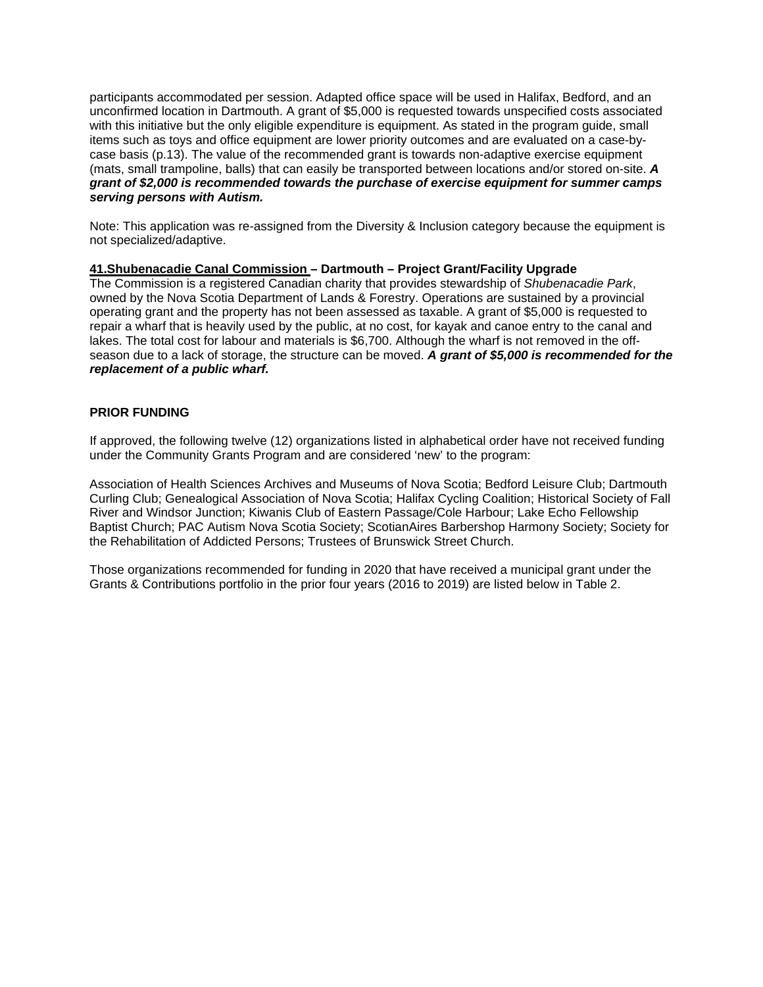participants accommodated per session. Adapted office space will be used in Halifax, Bedford, and an unconfirmed location in Dartmouth. A grant of \$5,000 is requested towards unspecified costs associated with this initiative but the only eligible expenditure is equipment. As stated in the program guide, small items such as toys and office equipment are lower priority outcomes and are evaluated on a case-bycase basis (p.13). The value of the recommended grant is towards non-adaptive exercise equipment (mats, small trampoline, balls) that can easily be transported between locations and/or stored on-site. *A grant of \$2,000 is recommended towards the purchase of exercise equipment for summer camps serving persons with Autism.*

Note: This application was re-assigned from the Diversity & Inclusion category because the equipment is not specialized/adaptive.

#### **41.Shubenacadie Canal Commission – Dartmouth – Project Grant/Facility Upgrade**

The Commission is a registered Canadian charity that provides stewardship of *Shubenacadie Park*, owned by the Nova Scotia Department of Lands & Forestry. Operations are sustained by a provincial operating grant and the property has not been assessed as taxable. A grant of \$5,000 is requested to repair a wharf that is heavily used by the public, at no cost, for kayak and canoe entry to the canal and lakes. The total cost for labour and materials is \$6,700. Although the wharf is not removed in the offseason due to a lack of storage, the structure can be moved. *A grant of \$5,000 is recommended for the replacement of a public wharf.*

#### **PRIOR FUNDING**

If approved, the following twelve (12) organizations listed in alphabetical order have not received funding under the Community Grants Program and are considered 'new' to the program:

Association of Health Sciences Archives and Museums of Nova Scotia; Bedford Leisure Club; Dartmouth Curling Club; Genealogical Association of Nova Scotia; Halifax Cycling Coalition; Historical Society of Fall River and Windsor Junction; Kiwanis Club of Eastern Passage/Cole Harbour; Lake Echo Fellowship Baptist Church; PAC Autism Nova Scotia Society; ScotianAires Barbershop Harmony Society; Society for the Rehabilitation of Addicted Persons; Trustees of Brunswick Street Church.

Those organizations recommended for funding in 2020 that have received a municipal grant under the Grants & Contributions portfolio in the prior four years (2016 to 2019) are listed below in Table 2.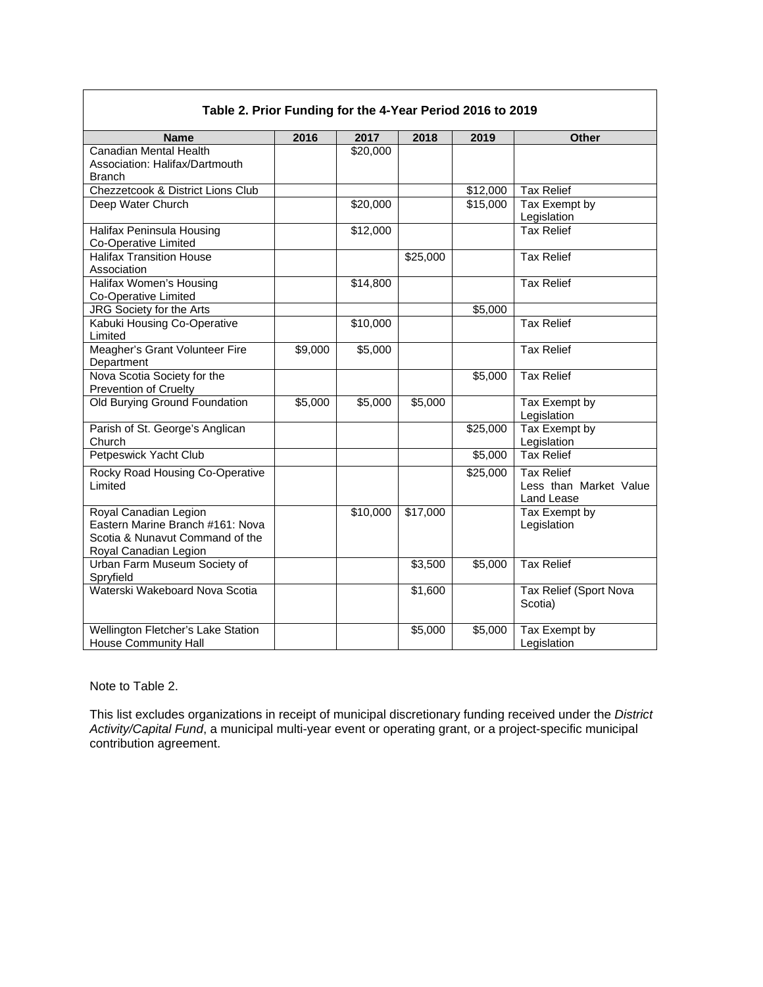| Table 2. Prior Funding for the 4-Year Period 2016 to 2019                                                             |         |                      |          |                      |                                                           |  |  |
|-----------------------------------------------------------------------------------------------------------------------|---------|----------------------|----------|----------------------|-----------------------------------------------------------|--|--|
| <b>Name</b>                                                                                                           | 2016    | 2017                 | 2018     | 2019                 | <b>Other</b>                                              |  |  |
| Canadian Mental Health<br>Association: Halifax/Dartmouth<br><b>Branch</b>                                             |         | \$20,000             |          |                      |                                                           |  |  |
| Chezzetcook & District Lions Club                                                                                     |         |                      |          | $\overline{$12,000}$ | <b>Tax Relief</b>                                         |  |  |
| Deep Water Church                                                                                                     |         | \$20,000             |          | \$15,000             | Tax Exempt by<br>Legislation                              |  |  |
| Halifax Peninsula Housing<br>Co-Operative Limited                                                                     |         | \$12,000             |          |                      | <b>Tax Relief</b>                                         |  |  |
| <b>Halifax Transition House</b><br>Association                                                                        |         |                      | \$25,000 |                      | <b>Tax Relief</b>                                         |  |  |
| Halifax Women's Housing<br>Co-Operative Limited                                                                       |         | \$14,800             |          |                      | <b>Tax Relief</b>                                         |  |  |
| JRG Society for the Arts                                                                                              |         |                      |          | \$5,000              |                                                           |  |  |
| Kabuki Housing Co-Operative<br>Limited                                                                                |         | $\overline{$10,000}$ |          |                      | <b>Tax Relief</b>                                         |  |  |
| Meagher's Grant Volunteer Fire<br>Department                                                                          | \$9,000 | \$5,000              |          |                      | <b>Tax Relief</b>                                         |  |  |
| Nova Scotia Society for the<br>Prevention of Cruelty                                                                  |         |                      |          | \$5,000              | <b>Tax Relief</b>                                         |  |  |
| Old Burying Ground Foundation                                                                                         | \$5,000 | \$5,000              | \$5,000  |                      | Tax Exempt by<br>Legislation                              |  |  |
| Parish of St. George's Anglican<br>Church                                                                             |         |                      |          | \$25,000             | Tax Exempt by<br>Legislation                              |  |  |
| Petpeswick Yacht Club                                                                                                 |         |                      |          | \$5,000              | <b>Tax Relief</b>                                         |  |  |
| Rocky Road Housing Co-Operative<br>Limited                                                                            |         |                      |          | \$25,000             | <b>Tax Relief</b><br>Less than Market Value<br>Land Lease |  |  |
| Royal Canadian Legion<br>Eastern Marine Branch #161: Nova<br>Scotia & Nunavut Command of the<br>Royal Canadian Legion |         | \$10,000             | \$17,000 |                      | Tax Exempt by<br>Legislation                              |  |  |
| Urban Farm Museum Society of<br>Spryfield                                                                             |         |                      | \$3,500  | \$5,000              | <b>Tax Relief</b>                                         |  |  |
| Waterski Wakeboard Nova Scotia                                                                                        |         |                      | \$1,600  |                      | Tax Relief (Sport Nova<br>Scotia)                         |  |  |
| Wellington Fletcher's Lake Station<br><b>House Community Hall</b>                                                     |         |                      | \$5,000  | \$5,000              | Tax Exempt by<br>Legislation                              |  |  |

## **Table 2. Prior Funding for the 4-Year Period 2016 to 2019**

## Note to Table 2.

This list excludes organizations in receipt of municipal discretionary funding received under the *District Activity/Capital Fund*, a municipal multi-year event or operating grant, or a project-specific municipal contribution agreement.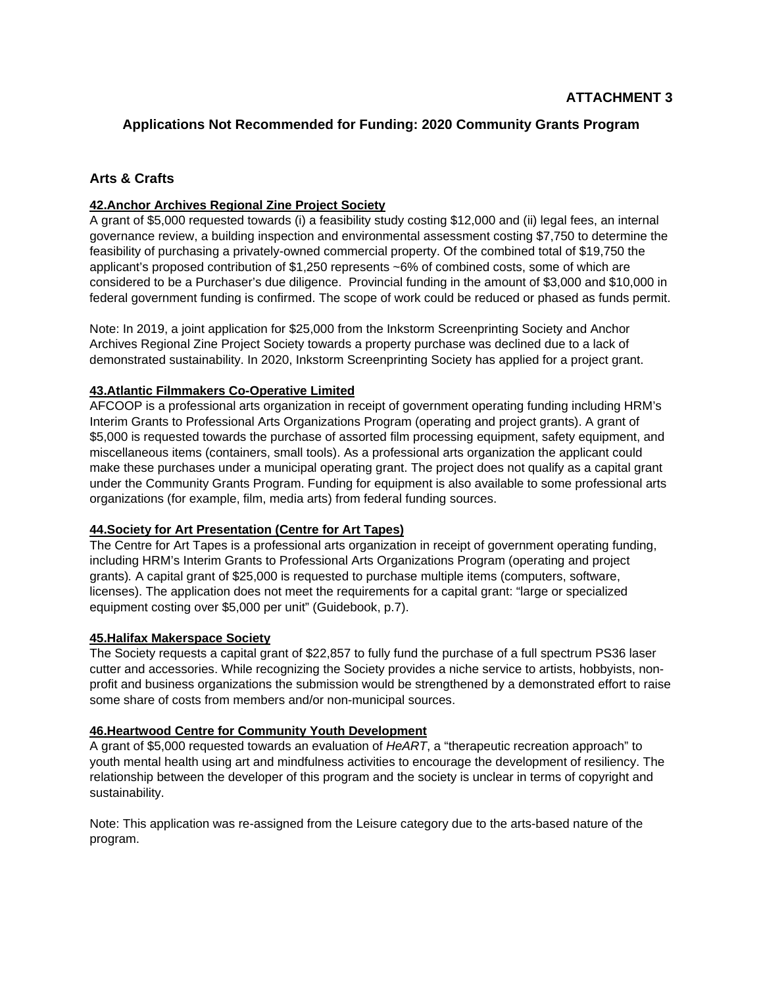# **Applications Not Recommended for Funding: 2020 Community Grants Program**

# **Arts & Crafts**

## **42.Anchor Archives Regional Zine Project Society**

A grant of \$5,000 requested towards (i) a feasibility study costing \$12,000 and (ii) legal fees, an internal governance review, a building inspection and environmental assessment costing \$7,750 to determine the feasibility of purchasing a privately-owned commercial property. Of the combined total of \$19,750 the applicant's proposed contribution of \$1,250 represents ~6% of combined costs, some of which are considered to be a Purchaser's due diligence. Provincial funding in the amount of \$3,000 and \$10,000 in federal government funding is confirmed. The scope of work could be reduced or phased as funds permit.

Note: In 2019, a joint application for \$25,000 from the Inkstorm Screenprinting Society and Anchor Archives Regional Zine Project Society towards a property purchase was declined due to a lack of demonstrated sustainability. In 2020, Inkstorm Screenprinting Society has applied for a project grant.

#### **43.Atlantic Filmmakers Co-Operative Limited**

AFCOOP is a professional arts organization in receipt of government operating funding including HRM's Interim Grants to Professional Arts Organizations Program (operating and project grants). A grant of \$5,000 is requested towards the purchase of assorted film processing equipment, safety equipment, and miscellaneous items (containers, small tools). As a professional arts organization the applicant could make these purchases under a municipal operating grant. The project does not qualify as a capital grant under the Community Grants Program. Funding for equipment is also available to some professional arts organizations (for example, film, media arts) from federal funding sources.

## **44.Society for Art Presentation (Centre for Art Tapes)**

The Centre for Art Tapes is a professional arts organization in receipt of government operating funding, including HRM's Interim Grants to Professional Arts Organizations Program (operating and project grants)*.* A capital grant of \$25,000 is requested to purchase multiple items (computers, software, licenses). The application does not meet the requirements for a capital grant: "large or specialized equipment costing over \$5,000 per unit" (Guidebook, p.7).

#### **45.Halifax Makerspace Society**

The Society requests a capital grant of \$22,857 to fully fund the purchase of a full spectrum PS36 laser cutter and accessories. While recognizing the Society provides a niche service to artists, hobbyists, nonprofit and business organizations the submission would be strengthened by a demonstrated effort to raise some share of costs from members and/or non-municipal sources.

#### **46.Heartwood Centre for Community Youth Development**

A grant of \$5,000 requested towards an evaluation of *HeART*, a "therapeutic recreation approach" to youth mental health using art and mindfulness activities to encourage the development of resiliency. The relationship between the developer of this program and the society is unclear in terms of copyright and sustainability.

Note: This application was re-assigned from the Leisure category due to the arts-based nature of the program.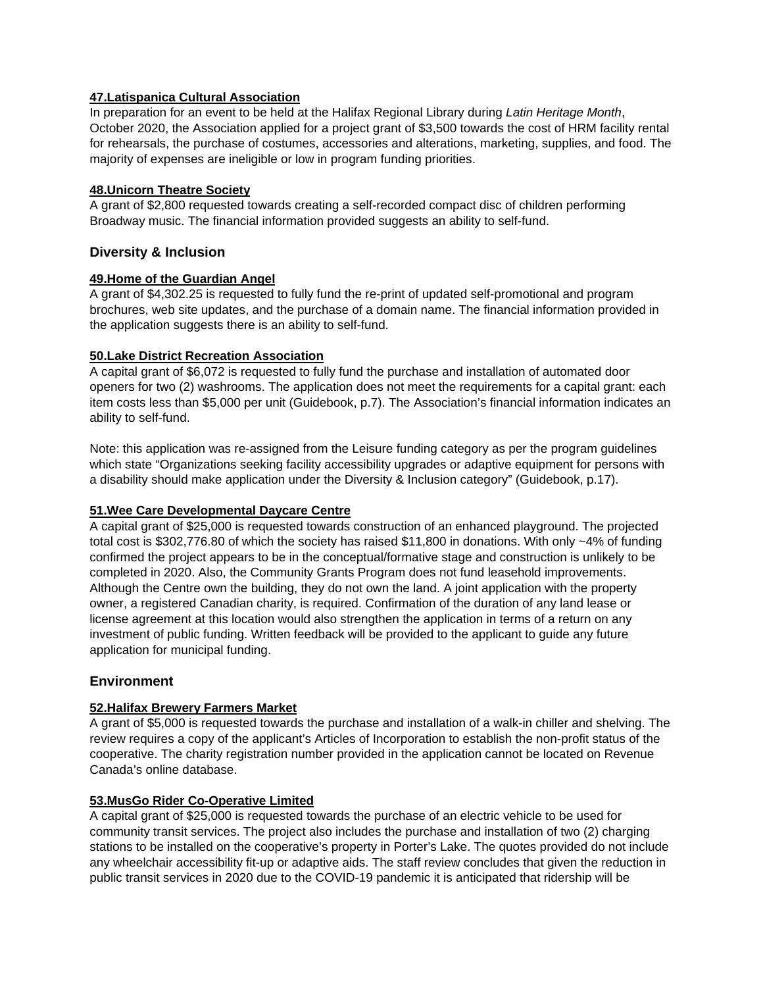#### **47.Latispanica Cultural Association**

In preparation for an event to be held at the Halifax Regional Library during *Latin Heritage Month*, October 2020, the Association applied for a project grant of \$3,500 towards the cost of HRM facility rental for rehearsals, the purchase of costumes, accessories and alterations, marketing, supplies, and food. The majority of expenses are ineligible or low in program funding priorities.

#### **48.Unicorn Theatre Society**

A grant of \$2,800 requested towards creating a self-recorded compact disc of children performing Broadway music. The financial information provided suggests an ability to self-fund.

## **Diversity & Inclusion**

#### **49.Home of the Guardian Angel**

A grant of \$4,302.25 is requested to fully fund the re-print of updated self-promotional and program brochures, web site updates, and the purchase of a domain name. The financial information provided in the application suggests there is an ability to self-fund.

#### **50.Lake District Recreation Association**

A capital grant of \$6,072 is requested to fully fund the purchase and installation of automated door openers for two (2) washrooms. The application does not meet the requirements for a capital grant: each item costs less than \$5,000 per unit (Guidebook, p.7). The Association's financial information indicates an ability to self-fund.

Note: this application was re-assigned from the Leisure funding category as per the program guidelines which state "Organizations seeking facility accessibility upgrades or adaptive equipment for persons with a disability should make application under the Diversity & Inclusion category" (Guidebook, p.17).

## **51.Wee Care Developmental Daycare Centre**

A capital grant of \$25,000 is requested towards construction of an enhanced playground. The projected total cost is \$302,776.80 of which the society has raised \$11,800 in donations. With only ~4% of funding confirmed the project appears to be in the conceptual/formative stage and construction is unlikely to be completed in 2020. Also, the Community Grants Program does not fund leasehold improvements. Although the Centre own the building, they do not own the land. A joint application with the property owner, a registered Canadian charity, is required. Confirmation of the duration of any land lease or license agreement at this location would also strengthen the application in terms of a return on any investment of public funding. Written feedback will be provided to the applicant to guide any future application for municipal funding.

## **Environment**

## **52.Halifax Brewery Farmers Market**

A grant of \$5,000 is requested towards the purchase and installation of a walk-in chiller and shelving. The review requires a copy of the applicant's Articles of Incorporation to establish the non-profit status of the cooperative. The charity registration number provided in the application cannot be located on Revenue Canada's online database.

## **53.MusGo Rider Co-Operative Limited**

A capital grant of \$25,000 is requested towards the purchase of an electric vehicle to be used for community transit services. The project also includes the purchase and installation of two (2) charging stations to be installed on the cooperative's property in Porter's Lake. The quotes provided do not include any wheelchair accessibility fit-up or adaptive aids. The staff review concludes that given the reduction in public transit services in 2020 due to the COVID-19 pandemic it is anticipated that ridership will be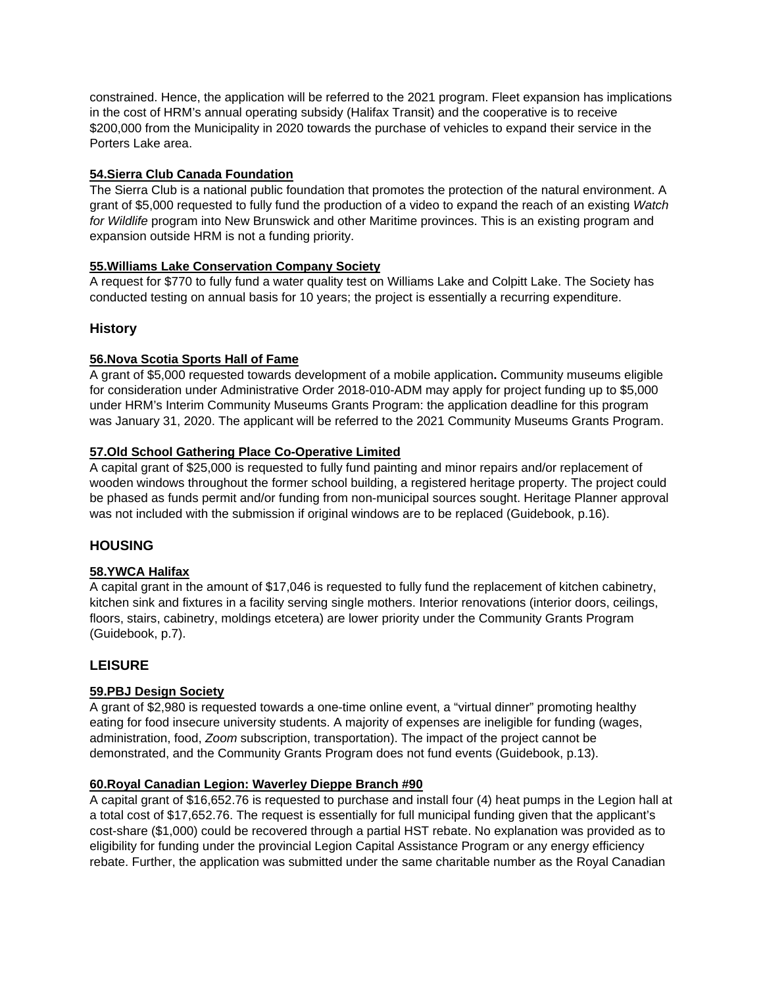constrained. Hence, the application will be referred to the 2021 program. Fleet expansion has implications in the cost of HRM's annual operating subsidy (Halifax Transit) and the cooperative is to receive \$200,000 from the Municipality in 2020 towards the purchase of vehicles to expand their service in the Porters Lake area.

## **54.Sierra Club Canada Foundation**

The Sierra Club is a national public foundation that promotes the protection of the natural environment. A grant of \$5,000 requested to fully fund the production of a video to expand the reach of an existing *Watch for Wildlife* program into New Brunswick and other Maritime provinces. This is an existing program and expansion outside HRM is not a funding priority.

## **55.Williams Lake Conservation Company Society**

A request for \$770 to fully fund a water quality test on Williams Lake and Colpitt Lake. The Society has conducted testing on annual basis for 10 years; the project is essentially a recurring expenditure.

# **History**

# **56.Nova Scotia Sports Hall of Fame**

A grant of \$5,000 requested towards development of a mobile application**.** Community museums eligible for consideration under Administrative Order 2018-010-ADM may apply for project funding up to \$5,000 under HRM's Interim Community Museums Grants Program: the application deadline for this program was January 31, 2020. The applicant will be referred to the 2021 Community Museums Grants Program.

# **57.Old School Gathering Place Co-Operative Limited**

A capital grant of \$25,000 is requested to fully fund painting and minor repairs and/or replacement of wooden windows throughout the former school building, a registered heritage property. The project could be phased as funds permit and/or funding from non-municipal sources sought. Heritage Planner approval was not included with the submission if original windows are to be replaced (Guidebook, p.16).

# **HOUSING**

# **58.YWCA Halifax**

A capital grant in the amount of \$17,046 is requested to fully fund the replacement of kitchen cabinetry, kitchen sink and fixtures in a facility serving single mothers. Interior renovations (interior doors, ceilings, floors, stairs, cabinetry, moldings etcetera) are lower priority under the Community Grants Program (Guidebook, p.7).

# **LEISURE**

## **59.PBJ Design Society**

A grant of \$2,980 is requested towards a one-time online event, a "virtual dinner" promoting healthy eating for food insecure university students. A majority of expenses are ineligible for funding (wages, administration, food, *Zoom* subscription, transportation). The impact of the project cannot be demonstrated, and the Community Grants Program does not fund events (Guidebook, p.13).

## **60.Royal Canadian Legion: Waverley Dieppe Branch #90**

A capital grant of \$16,652.76 is requested to purchase and install four (4) heat pumps in the Legion hall at a total cost of \$17,652.76. The request is essentially for full municipal funding given that the applicant's cost-share (\$1,000) could be recovered through a partial HST rebate. No explanation was provided as to eligibility for funding under the provincial Legion Capital Assistance Program or any energy efficiency rebate. Further, the application was submitted under the same charitable number as the Royal Canadian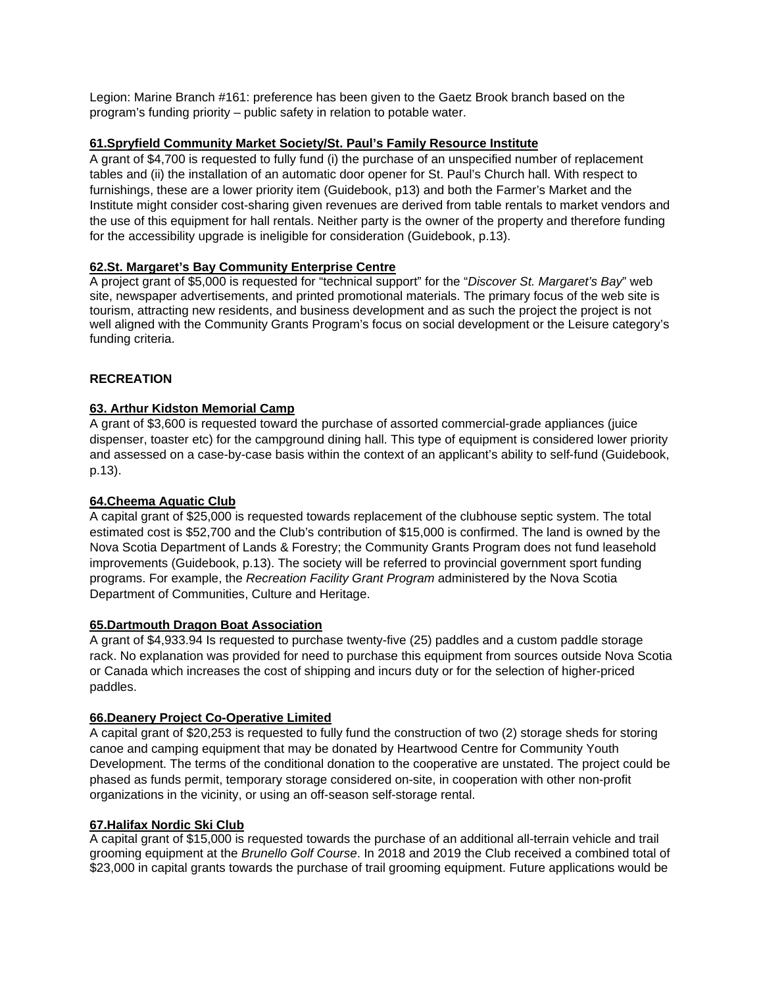Legion: Marine Branch #161: preference has been given to the Gaetz Brook branch based on the program's funding priority – public safety in relation to potable water.

#### **61.Spryfield Community Market Society/St. Paul's Family Resource Institute**

A grant of \$4,700 is requested to fully fund (i) the purchase of an unspecified number of replacement tables and (ii) the installation of an automatic door opener for St. Paul's Church hall. With respect to furnishings, these are a lower priority item (Guidebook, p13) and both the Farmer's Market and the Institute might consider cost-sharing given revenues are derived from table rentals to market vendors and the use of this equipment for hall rentals. Neither party is the owner of the property and therefore funding for the accessibility upgrade is ineligible for consideration (Guidebook, p.13).

# **62.St. Margaret's Bay Community Enterprise Centre**

A project grant of \$5,000 is requested for "technical support" for the "*Discover St. Margaret's Bay*" web site, newspaper advertisements, and printed promotional materials. The primary focus of the web site is tourism, attracting new residents, and business development and as such the project the project is not well aligned with the Community Grants Program's focus on social development or the Leisure category's funding criteria.

#### **RECREATION**

#### **63. Arthur Kidston Memorial Camp**

A grant of \$3,600 is requested toward the purchase of assorted commercial-grade appliances (juice dispenser, toaster etc) for the campground dining hall. This type of equipment is considered lower priority and assessed on a case-by-case basis within the context of an applicant's ability to self-fund (Guidebook, p.13).

#### **64.Cheema Aquatic Club**

A capital grant of \$25,000 is requested towards replacement of the clubhouse septic system. The total estimated cost is \$52,700 and the Club's contribution of \$15,000 is confirmed. The land is owned by the Nova Scotia Department of Lands & Forestry; the Community Grants Program does not fund leasehold improvements (Guidebook, p.13). The society will be referred to provincial government sport funding programs. For example, the *Recreation Facility Grant Program* administered by the Nova Scotia Department of Communities, Culture and Heritage.

#### **65.Dartmouth Dragon Boat Association**

A grant of \$4,933.94 Is requested to purchase twenty-five (25) paddles and a custom paddle storage rack. No explanation was provided for need to purchase this equipment from sources outside Nova Scotia or Canada which increases the cost of shipping and incurs duty or for the selection of higher-priced paddles.

#### **66.Deanery Project Co-Operative Limited**

A capital grant of \$20,253 is requested to fully fund the construction of two (2) storage sheds for storing canoe and camping equipment that may be donated by Heartwood Centre for Community Youth Development. The terms of the conditional donation to the cooperative are unstated. The project could be phased as funds permit, temporary storage considered on-site, in cooperation with other non-profit organizations in the vicinity, or using an off-season self-storage rental.

#### **67.Halifax Nordic Ski Club**

A capital grant of \$15,000 is requested towards the purchase of an additional all-terrain vehicle and trail grooming equipment at the *Brunello Golf Course*. In 2018 and 2019 the Club received a combined total of \$23,000 in capital grants towards the purchase of trail grooming equipment. Future applications would be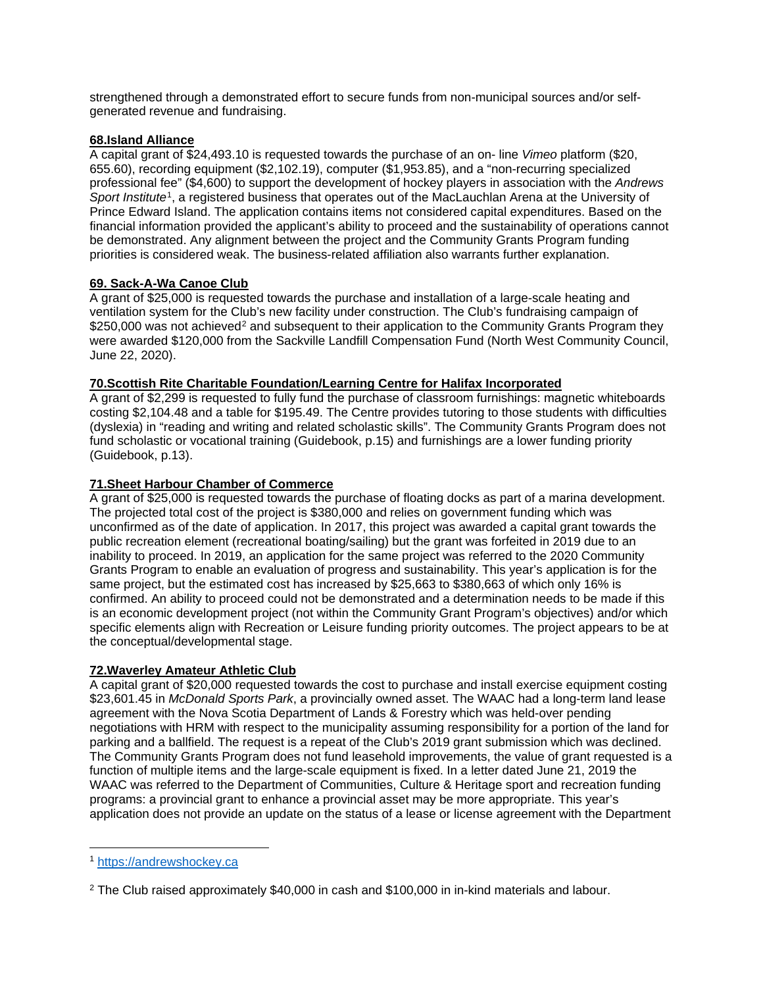strengthened through a demonstrated effort to secure funds from non-municipal sources and/or selfgenerated revenue and fundraising.

#### **68.Island Alliance**

A capital grant of \$24,493.10 is requested towards the purchase of an on- line *Vimeo* platform (\$20, 655.60), recording equipment (\$2,102.19), computer (\$1,953.85), and a "non-recurring specialized professional fee" (\$4,600) to support the development of hockey players in association with the *Andrews Sport Institute*[1,](#page-23-0) a registered business that operates out of the MacLauchlan Arena at the University of Prince Edward Island. The application contains items not considered capital expenditures. Based on the financial information provided the applicant's ability to proceed and the sustainability of operations cannot be demonstrated. Any alignment between the project and the Community Grants Program funding priorities is considered weak. The business-related affiliation also warrants further explanation.

## **69. Sack-A-Wa Canoe Club**

A grant of \$25,000 is requested towards the purchase and installation of a large-scale heating and ventilation system for the Club's new facility under construction. The Club's fundraising campaign of \$[2](#page-23-1)50,000 was not achieved<sup>2</sup> and subsequent to their application to the Community Grants Program they were awarded \$120,000 from the Sackville Landfill Compensation Fund (North West Community Council, June 22, 2020).

#### **70.Scottish Rite Charitable Foundation/Learning Centre for Halifax Incorporated**

A grant of \$2,299 is requested to fully fund the purchase of classroom furnishings: magnetic whiteboards costing \$2,104.48 and a table for \$195.49. The Centre provides tutoring to those students with difficulties (dyslexia) in "reading and writing and related scholastic skills". The Community Grants Program does not fund scholastic or vocational training (Guidebook, p.15) and furnishings are a lower funding priority (Guidebook, p.13).

#### **71.Sheet Harbour Chamber of Commerce**

A grant of \$25,000 is requested towards the purchase of floating docks as part of a marina development. The projected total cost of the project is \$380,000 and relies on government funding which was unconfirmed as of the date of application. In 2017, this project was awarded a capital grant towards the public recreation element (recreational boating/sailing) but the grant was forfeited in 2019 due to an inability to proceed. In 2019, an application for the same project was referred to the 2020 Community Grants Program to enable an evaluation of progress and sustainability. This year's application is for the same project, but the estimated cost has increased by \$25,663 to \$380,663 of which only 16% is confirmed. An ability to proceed could not be demonstrated and a determination needs to be made if this is an economic development project (not within the Community Grant Program's objectives) and/or which specific elements align with Recreation or Leisure funding priority outcomes. The project appears to be at the conceptual/developmental stage.

#### **72.Waverley Amateur Athletic Club**

A capital grant of \$20,000 requested towards the cost to purchase and install exercise equipment costing \$23,601.45 in *McDonald Sports Park*, a provincially owned asset. The WAAC had a long-term land lease agreement with the Nova Scotia Department of Lands & Forestry which was held-over pending negotiations with HRM with respect to the municipality assuming responsibility for a portion of the land for parking and a ballfield. The request is a repeat of the Club's 2019 grant submission which was declined. The Community Grants Program does not fund leasehold improvements, the value of grant requested is a function of multiple items and the large-scale equipment is fixed. In a letter dated June 21, 2019 the WAAC was referred to the Department of Communities, Culture & Heritage sport and recreation funding programs: a provincial grant to enhance a provincial asset may be more appropriate. This year's application does not provide an update on the status of a lease or license agreement with the Department

 $\overline{a}$ 

<span id="page-23-0"></span><sup>1</sup> [https://andrewshockey.ca](https://andrewshockey.ca/)

<span id="page-23-1"></span><sup>&</sup>lt;sup>2</sup> The Club raised approximately \$40,000 in cash and \$100,000 in in-kind materials and labour.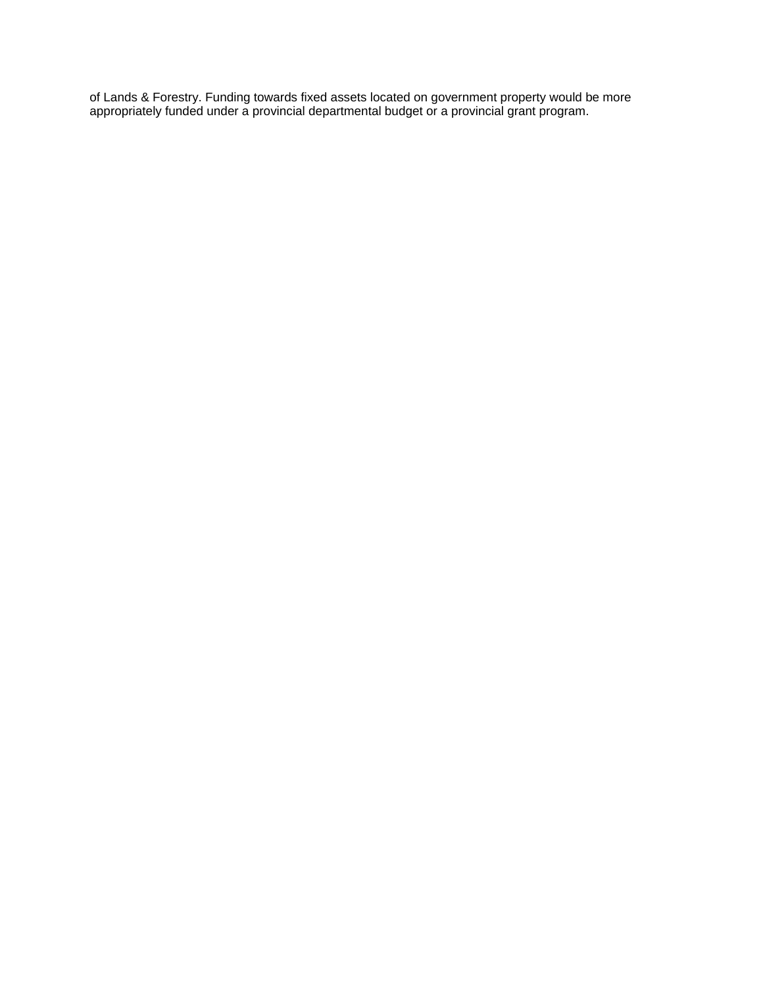of Lands & Forestry. Funding towards fixed assets located on government property would be more appropriately funded under a provincial departmental budget or a provincial grant program.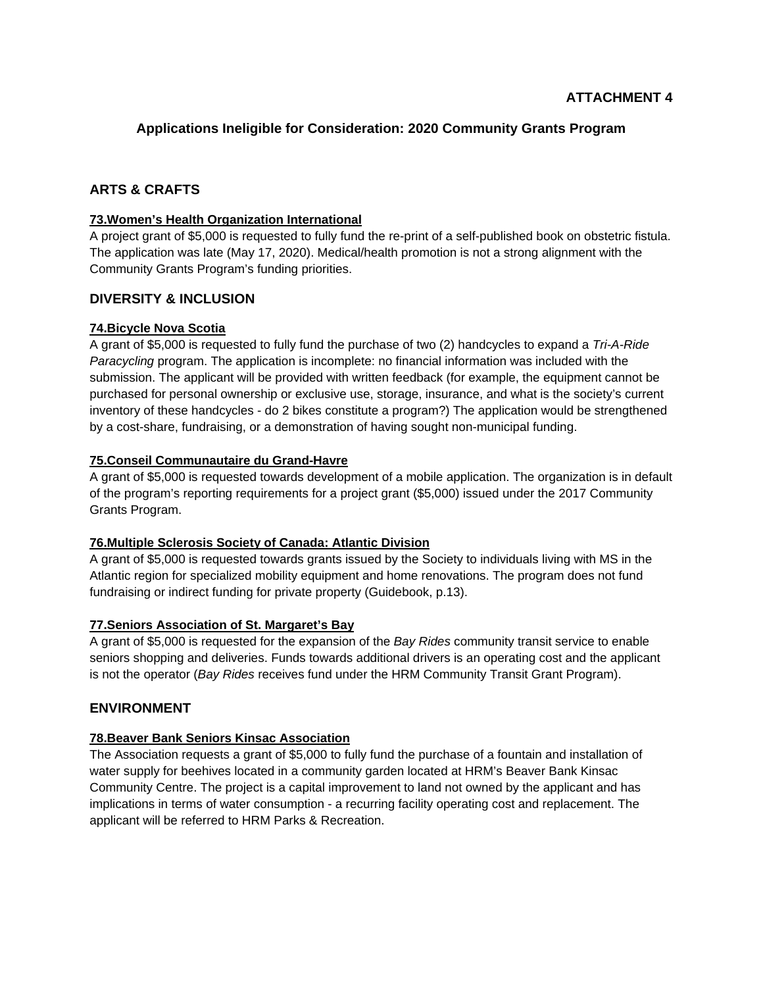# **Applications Ineligible for Consideration: 2020 Community Grants Program**

# **ARTS & CRAFTS**

## **73.Women's Health Organization International**

A project grant of \$5,000 is requested to fully fund the re-print of a self-published book on obstetric fistula. The application was late (May 17, 2020). Medical/health promotion is not a strong alignment with the Community Grants Program's funding priorities.

# **DIVERSITY & INCLUSION**

## **74.Bicycle Nova Scotia**

A grant of \$5,000 is requested to fully fund the purchase of two (2) handcycles to expand a *Tri-A-Ride Paracycling* program. The application is incomplete: no financial information was included with the submission. The applicant will be provided with written feedback (for example, the equipment cannot be purchased for personal ownership or exclusive use, storage, insurance, and what is the society's current inventory of these handcycles - do 2 bikes constitute a program?) The application would be strengthened by a cost-share, fundraising, or a demonstration of having sought non-municipal funding.

## **75.Conseil Communautaire du Grand-Havre**

A grant of \$5,000 is requested towards development of a mobile application. The organization is in default of the program's reporting requirements for a project grant (\$5,000) issued under the 2017 Community Grants Program.

## **76.Multiple Sclerosis Society of Canada: Atlantic Division**

A grant of \$5,000 is requested towards grants issued by the Society to individuals living with MS in the Atlantic region for specialized mobility equipment and home renovations. The program does not fund fundraising or indirect funding for private property (Guidebook, p.13).

## **77.Seniors Association of St. Margaret's Bay**

A grant of \$5,000 is requested for the expansion of the *Bay Rides* community transit service to enable seniors shopping and deliveries. Funds towards additional drivers is an operating cost and the applicant is not the operator (*Bay Rides* receives fund under the HRM Community Transit Grant Program).

# **ENVIRONMENT**

# **78.Beaver Bank Seniors Kinsac Association**

The Association requests a grant of \$5,000 to fully fund the purchase of a fountain and installation of water supply for beehives located in a community garden located at HRM's Beaver Bank Kinsac Community Centre. The project is a capital improvement to land not owned by the applicant and has implications in terms of water consumption - a recurring facility operating cost and replacement. The applicant will be referred to HRM Parks & Recreation.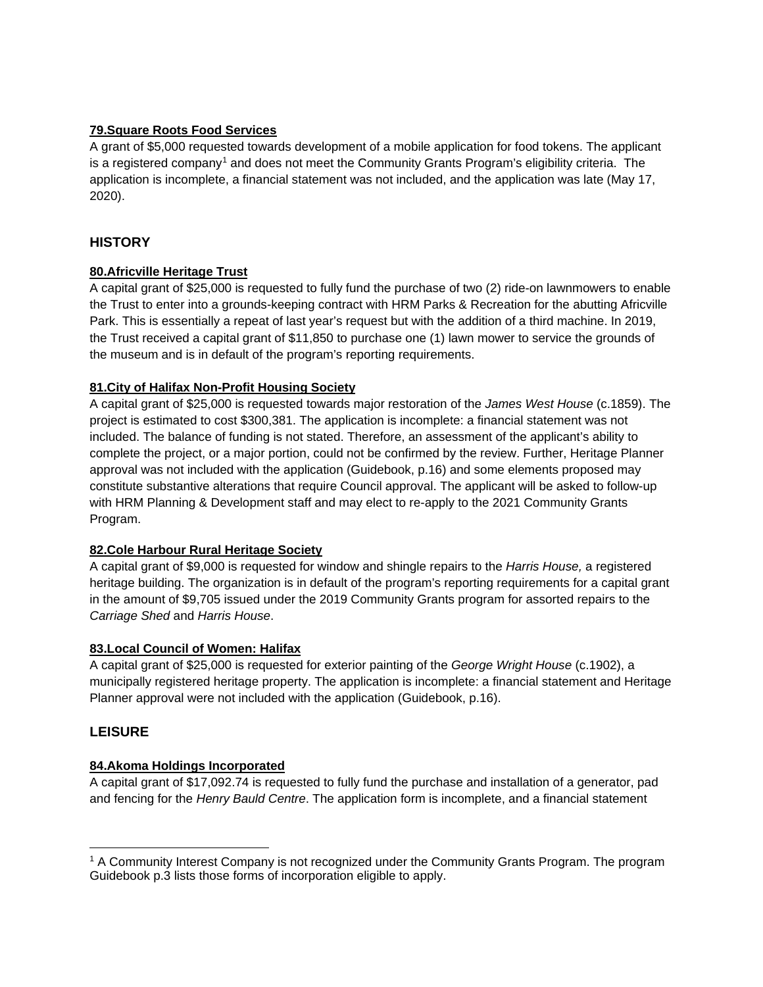## **79.Square Roots Food Services**

A grant of \$5,000 requested towards development of a mobile application for food tokens. The applicant is a registered company<sup>[1](#page-26-0)</sup> and does not meet the Community Grants Program's eligibility criteria. The application is incomplete, a financial statement was not included, and the application was late (May 17, 2020).

# **HISTORY**

## **80.Africville Heritage Trust**

A capital grant of \$25,000 is requested to fully fund the purchase of two (2) ride-on lawnmowers to enable the Trust to enter into a grounds-keeping contract with HRM Parks & Recreation for the abutting Africville Park. This is essentially a repeat of last year's request but with the addition of a third machine. In 2019, the Trust received a capital grant of \$11,850 to purchase one (1) lawn mower to service the grounds of the museum and is in default of the program's reporting requirements.

## **81.City of Halifax Non-Profit Housing Society**

A capital grant of \$25,000 is requested towards major restoration of the *James West House* (c.1859). The project is estimated to cost \$300,381. The application is incomplete: a financial statement was not included. The balance of funding is not stated. Therefore, an assessment of the applicant's ability to complete the project, or a major portion, could not be confirmed by the review. Further, Heritage Planner approval was not included with the application (Guidebook, p.16) and some elements proposed may constitute substantive alterations that require Council approval. The applicant will be asked to follow-up with HRM Planning & Development staff and may elect to re-apply to the 2021 Community Grants Program.

## **82.Cole Harbour Rural Heritage Society**

A capital grant of \$9,000 is requested for window and shingle repairs to the *Harris House,* a registered heritage building. The organization is in default of the program's reporting requirements for a capital grant in the amount of \$9,705 issued under the 2019 Community Grants program for assorted repairs to the *Carriage Shed* and *Harris House*.

## **83.Local Council of Women: Halifax**

A capital grant of \$25,000 is requested for exterior painting of the *George Wright House* (c.1902), a municipally registered heritage property. The application is incomplete: a financial statement and Heritage Planner approval were not included with the application (Guidebook, p.16).

## **LEISURE**

 $\overline{a}$ 

## **84.Akoma Holdings Incorporated**

A capital grant of \$17,092.74 is requested to fully fund the purchase and installation of a generator, pad and fencing for the *Henry Bauld Centre*. The application form is incomplete, and a financial statement

<span id="page-26-0"></span><sup>1</sup> A Community Interest Company is not recognized under the Community Grants Program. The program Guidebook p.3 lists those forms of incorporation eligible to apply.